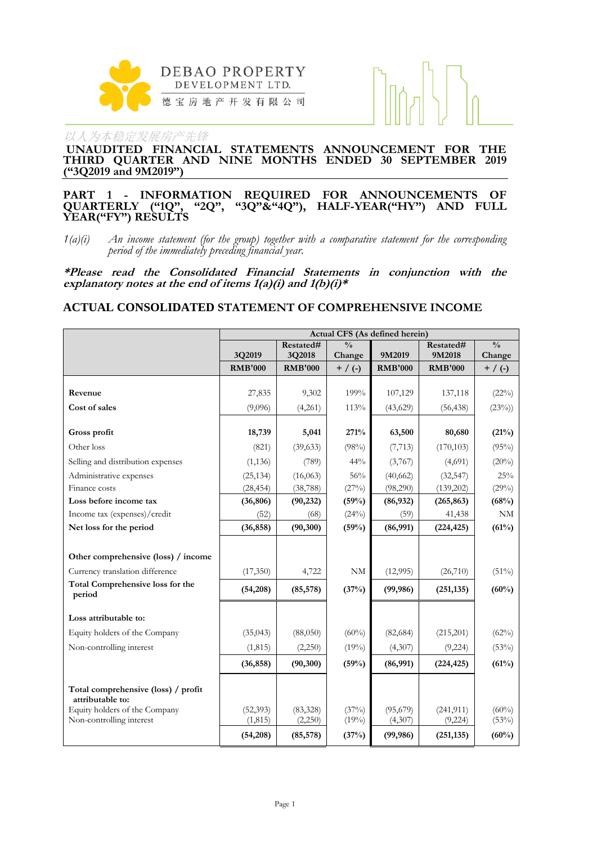

**UNAUDITED FINANCIAL STATEMENTS ANNOUNCEMENT FOR THE THIRD QUARTER AND NINE MONTHS ENDED 30 SEPTEMBER 2019 ("3Q2019 and 9M2019")**

#### **PART 1 - INFORMATION REQUIRED FOR ANNOUNCEMENTS OF QUARTERLY ("1Q", "2Q", "3Q"&"4Q"), HALF-YEAR("HY") AND FULL YEAR("FY") RESULTS**

*1(a)(i) An income statement (for the group) together with a comparative statement for the corresponding period of the immediately preceding financial year.*

**\*Please read the Consolidated Financial Statements in conjunction with the explanatory notes at the end of items 1(a)(i) and 1(b)(i)\***

## **ACTUAL CONSOLIDATED STATEMENT OF COMPREHENSIVE INCOME**

|                                                         |                |                |               | Actual CFS (As defined herein) |                |               |
|---------------------------------------------------------|----------------|----------------|---------------|--------------------------------|----------------|---------------|
|                                                         |                | Restated#      | $\frac{0}{0}$ |                                | Restated#      | $\frac{0}{0}$ |
|                                                         | 3Q2019         | 3Q2018         | Change        | 9M2019                         | 9M2018         | Change        |
|                                                         | <b>RMB'000</b> | <b>RMB'000</b> | $+$ / (-)     | <b>RMB'000</b>                 | <b>RMB'000</b> | $+ / ( - )$   |
| Revenue                                                 | 27,835         | 9,302          | 199%          | 107,129                        | 137,118        | (22%)         |
| Cost of sales                                           | (9,096)        | (4,261)        | 113%          | (43,629)                       | (56, 438)      | (23%)         |
|                                                         |                |                |               |                                |                |               |
| Gross profit                                            | 18,739         | 5,041          | 271%          | 63,500                         | 80,680         | (21%)         |
| Other loss                                              | (821)          | (39, 633)      | (98%)         | (7, 713)                       | (170, 103)     | (95%)         |
| Selling and distribution expenses                       | (1, 136)       | (789)          | 44%           | (3,767)                        | (4,691)        | (20%)         |
| Administrative expenses                                 | (25, 134)      | (16,063)       | 56%           | (40, 662)                      | (32, 547)      | 25%           |
| Finance costs                                           | (28, 454)      | (38, 788)      | (27%)         | (98,290)                       | (139,202)      | (29%)         |
| Loss before income tax                                  | (36, 806)      | (90, 232)      | (59%)         | (86, 932)                      | (265, 863)     | (68%)         |
| Income tax (expenses)/credit                            | (52)           | (68)           | (24%)         | (59)                           | 41,438         | NM            |
| Net loss for the period                                 | (36, 858)      | (90, 300)      | (59%)         | (86,991)                       | (224, 425)     | (61%)         |
|                                                         |                |                |               |                                |                |               |
| Other comprehensive (loss) / income                     |                |                |               |                                |                |               |
| Currency translation difference                         | (17,350)       | 4,722          | NM            | (12,995)                       | (26,710)       | $(51\%)$      |
| Total Comprehensive loss for the<br>period              | (54,208)       | (85, 578)      | (37%)         | (99, 986)                      | (251, 135)     | (60%)         |
| Loss attributable to:                                   |                |                |               |                                |                |               |
| Equity holders of the Company                           | (35, 043)      | (88,050)       | $(60\%)$      | (82, 684)                      | (215,201)      | (62%)         |
| Non-controlling interest                                | (1, 815)       | (2,250)        | (19%)         | (4,307)                        | (9,224)        | (53%)         |
|                                                         | (36, 858)      | (90, 300)      | (59%)         | (86,991)                       | (224, 425)     | (61%)         |
|                                                         |                |                |               |                                |                |               |
| Total comprehensive (loss) / profit<br>attributable to: |                |                |               |                                |                |               |
| Equity holders of the Company                           | (52, 393)      | (83, 328)      | (37%)         | (95,679)                       | (241, 911)     | $(60\%)$      |
| Non-controlling interest                                | (1, 815)       | (2,250)        | (19%)         | (4,307)                        | (9,224)        | (53%)         |
|                                                         | (54,208)       | (85, 578)      | (37%)         | (99, 986)                      | (251, 135)     | (60%)         |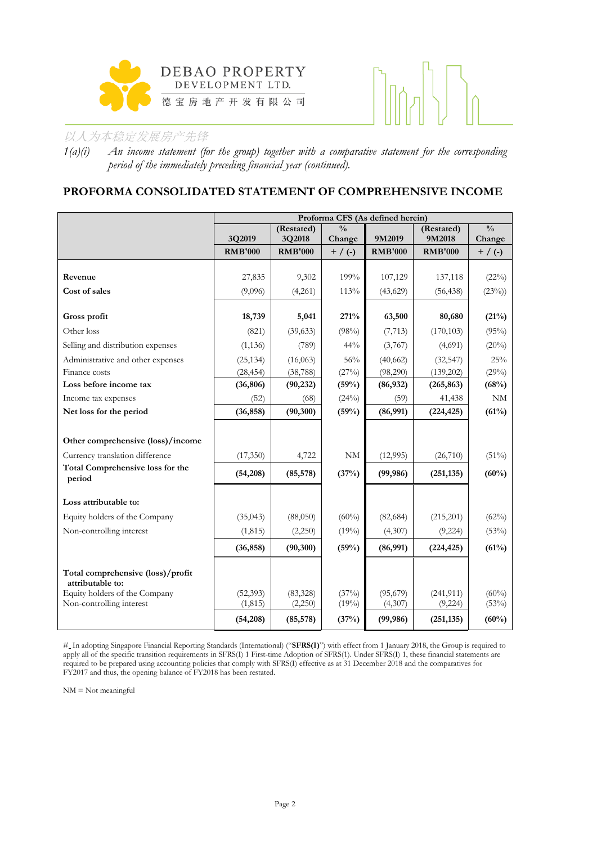



*1(a)(i) An income statement (for the group) together with a comparative statement for the corresponding period of the immediately preceding financial year (continued).*

# **PROFORMA CONSOLIDATED STATEMENT OF COMPREHENSIVE INCOME**

|                                                           | Proforma CFS (As defined herein) |                      |                         |                     |                       |                         |  |  |
|-----------------------------------------------------------|----------------------------------|----------------------|-------------------------|---------------------|-----------------------|-------------------------|--|--|
|                                                           | 3Q2019                           | (Restated)<br>3Q2018 | $\frac{0}{0}$<br>Change | 9M2019              | (Restated)<br>9M2018  | $\frac{0}{0}$<br>Change |  |  |
|                                                           | <b>RMB'000</b>                   | <b>RMB'000</b>       | $+ / ( - )$             | <b>RMB'000</b>      | <b>RMB'000</b>        | $+$ / (-)               |  |  |
|                                                           |                                  |                      |                         |                     |                       |                         |  |  |
| Revenue                                                   | 27,835                           | 9,302                | 199%                    | 107,129             | 137,118               | (22%)                   |  |  |
| Cost of sales                                             | (9,096)                          | (4,261)              | 113%                    | (43,629)            | (56, 438)             | (23%)                   |  |  |
| Gross profit                                              | 18,739                           | 5,041                | 271%                    | 63,500              | 80,680                | (21%)                   |  |  |
| Other loss                                                | (821)                            | (39, 633)            | (98%)                   | (7, 713)            | (170, 103)            | (95%)                   |  |  |
| Selling and distribution expenses                         | (1, 136)                         | (789)                | 44%                     | (3,767)             | (4,691)               | (20%)                   |  |  |
| Administrative and other expenses                         | (25, 134)                        | (16,063)             | 56%                     | (40, 662)           | (32, 547)             | 25%                     |  |  |
| Finance costs                                             | (28, 454)                        | (38, 788)            | (27%)                   | (98,290)            | (139,202)             | (29%)                   |  |  |
| Loss before income tax                                    | (36, 806)                        | (90, 232)            | (59%)                   | (86, 932)           | (265, 863)            | (68%)                   |  |  |
| Income tax expenses                                       | (52)                             | (68)                 | (24%)                   | (59)                | 41,438                | NM                      |  |  |
| Net loss for the period                                   | (36, 858)                        | (90, 300)            | (59%)                   | (86,991)            | (224, 425)            | (61%)                   |  |  |
|                                                           |                                  |                      |                         |                     |                       |                         |  |  |
| Other comprehensive (loss)/income                         |                                  |                      |                         |                     |                       |                         |  |  |
| Currency translation difference                           | (17,350)                         | 4,722                | NM                      | (12,995)            | (26,710)              | $(51\%)$                |  |  |
| Total Comprehensive loss for the<br>period                | (54,208)                         | (85, 578)            | (37%)                   | (99, 986)           | (251, 135)            | (60%)                   |  |  |
| Loss attributable to:                                     |                                  |                      |                         |                     |                       |                         |  |  |
| Equity holders of the Company                             | (35, 043)                        | (88,050)             | $(60\%)$                | (82, 684)           | (215,201)             | (62%)                   |  |  |
| Non-controlling interest                                  | (1, 815)                         | (2,250)              | (19%)                   | (4,307)             | (9, 224)              | (53%)                   |  |  |
|                                                           | (36, 858)                        | (90, 300)            | (59%)                   | (86,991)            | (224, 425)            | (61%)                   |  |  |
| Total comprehensive (loss)/profit<br>attributable to:     |                                  |                      |                         |                     |                       |                         |  |  |
| Equity holders of the Company<br>Non-controlling interest | (52, 393)<br>(1, 815)            | (83, 328)<br>(2,250) | (37%)<br>(19%)          | (95,679)<br>(4,307) | (241, 911)<br>(9,224) | $(60\%)$<br>(53%)       |  |  |
|                                                           | (54, 208)                        | (85, 578)            | (37%)                   | (99, 986)           | (251, 135)            | (60%)                   |  |  |

# In adopting Singapore Financial Reporting Standards (International) ("**SFRS(I)**") with effect from 1 January 2018, the Group is required to apply all of the specific transition requirements in SFRS(I) 1 First-time Adoption of SFRS(1). Under SFRS(I) 1, these financial statements are required to be prepared using accounting policies that comply with SFRS(I) effective as at 31 December 2018 and the comparatives for FY2017 and thus, the opening balance of FY2018 has been restated.

NM = Not meaningful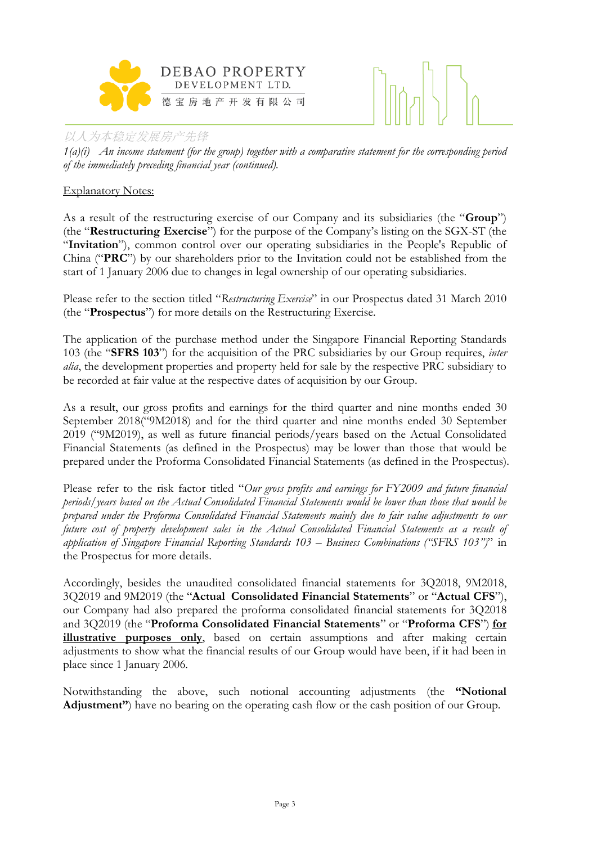



*1(a)(i) An income statement (for the group) together with a comparative statement for the corresponding period of the immediately preceding financial year (continued).*

# Explanatory Notes:

As a result of the restructuring exercise of our Company and its subsidiaries (the "**Group**") (the "**Restructuring Exercise**") for the purpose of the Company's listing on the SGX-ST (the "**Invitation**"), common control over our operating subsidiaries in the People's Republic of China ("**PRC**") by our shareholders prior to the Invitation could not be established from the start of 1 January 2006 due to changes in legal ownership of our operating subsidiaries.

Please refer to the section titled "*Restructuring Exercise*" in our Prospectus dated 31 March 2010 (the "**Prospectus**") for more details on the Restructuring Exercise.

The application of the purchase method under the Singapore Financial Reporting Standards 103 (the "**SFRS 103**") for the acquisition of the PRC subsidiaries by our Group requires, *inter alia*, the development properties and property held for sale by the respective PRC subsidiary to be recorded at fair value at the respective dates of acquisition by our Group.

As a result, our gross profits and earnings for the third quarter and nine months ended 30 September 2018("9M2018) and for the third quarter and nine months ended 30 September 2019 ("9M2019), as well as future financial periods/years based on the Actual Consolidated Financial Statements (as defined in the Prospectus) may be lower than those that would be prepared under the Proforma Consolidated Financial Statements (as defined in the Prospectus).

Please refer to the risk factor titled "*Our gross profits and earnings for FY2009 and future financial periods/years based on the Actual Consolidated Financial Statements would be lower than those that would be prepared under the Proforma Consolidated Financial Statements mainly due to fair value adjustments to our future cost of property development sales in the Actual Consolidated Financial Statements as a result of application of Singapore Financial Reporting Standards 103 – Business Combinations ("SFRS 103")*" in the Prospectus for more details.

Accordingly, besides the unaudited consolidated financial statements for 3Q2018, 9M2018, 3Q2019 and 9M2019 (the "**Actual Consolidated Financial Statements**" or "**Actual CFS**"), our Company had also prepared the proforma consolidated financial statements for 3Q2018 and 3Q2019 (the "**Proforma Consolidated Financial Statements**" or "**Proforma CFS**") **for illustrative purposes only**, based on certain assumptions and after making certain adjustments to show what the financial results of our Group would have been, if it had been in place since 1 January 2006.

Notwithstanding the above, such notional accounting adjustments (the **"Notional Adjustment"**) have no bearing on the operating cash flow or the cash position of our Group.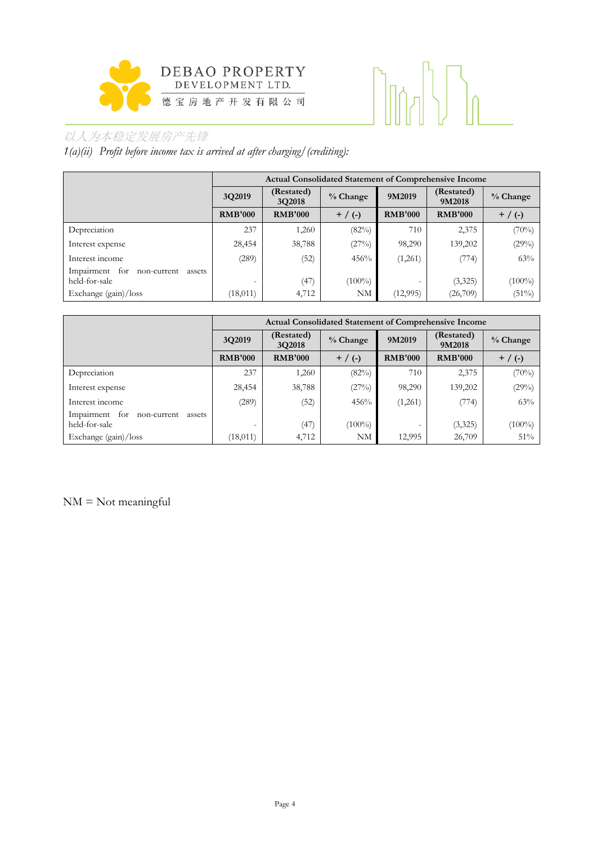

# 

# 以人为本稳定发展房产先锋

*1(a)(ii) Profit before income tax is arrived at after charging/(crediting):*

|                                                             |                          | <b>Actual Consolidated Statement of Comprehensive Income</b> |            |                |                      |           |
|-------------------------------------------------------------|--------------------------|--------------------------------------------------------------|------------|----------------|----------------------|-----------|
|                                                             | 3Q2019                   | (Restated)<br>3Q2018                                         | $%$ Change | 9M2019         | (Restated)<br>9M2018 | % Change  |
|                                                             | <b>RMB'000</b>           | <b>RMB'000</b>                                               | $+$ / (-)  | <b>RMB'000</b> | <b>RMB'000</b>       | $+$ / (-) |
| Depreciation                                                | 237                      | 1,260                                                        | (82%)      | 710            | 2,375                | (70%)     |
| Interest expense                                            | 28,454                   | 38,788                                                       | (27%)      | 98,290         | 139,202              | (29%)     |
| Interest income                                             | (289)                    | (52)                                                         | 456%       | (1,261)        | (774)                | 63%       |
| for<br>Impairment<br>non-current<br>assets<br>held-for-sale | $\overline{\phantom{0}}$ | (47)                                                         | $(100\%)$  |                | (3,325)              | $(100\%)$ |
| Exchange $(gain)/loss$                                      | (18, 011)                | 4,712                                                        | NΜ         | (12, 995)      | (26,709)             | $(51\%)$  |

|                                                             |                | <b>Actual Consolidated Statement of Comprehensive Income</b> |            |                |                      |            |
|-------------------------------------------------------------|----------------|--------------------------------------------------------------|------------|----------------|----------------------|------------|
|                                                             | 3Q2019         | (Restated)<br>3Q2018                                         | $%$ Change | 9M2019         | (Restated)<br>9M2018 | $%$ Change |
|                                                             | <b>RMB'000</b> | <b>RMB'000</b>                                               | $+$ / (-)  | <b>RMB'000</b> | <b>RMB'000</b>       | $+$ / (-)  |
| Depreciation                                                | 237            | 1,260                                                        | (82%)      | 710            | 2,375                | (70%)      |
| Interest expense                                            | 28,454         | 38,788                                                       | (27%)      | 98,290         | 139,202              | (29%)      |
| Interest income                                             | (289)          | (52)                                                         | 456%       | (1,261)        | (774)                | 63%        |
| Impairment<br>for<br>non-current<br>assets<br>held-for-sale |                | (47)                                                         | $(100\%)$  |                | (3,325)              | $(100\%)$  |
| Exchange (gain)/loss                                        | (18, 011)      | 4,712                                                        | NM         | 12,995         | 26,709               | 51%        |

NM = Not meaningful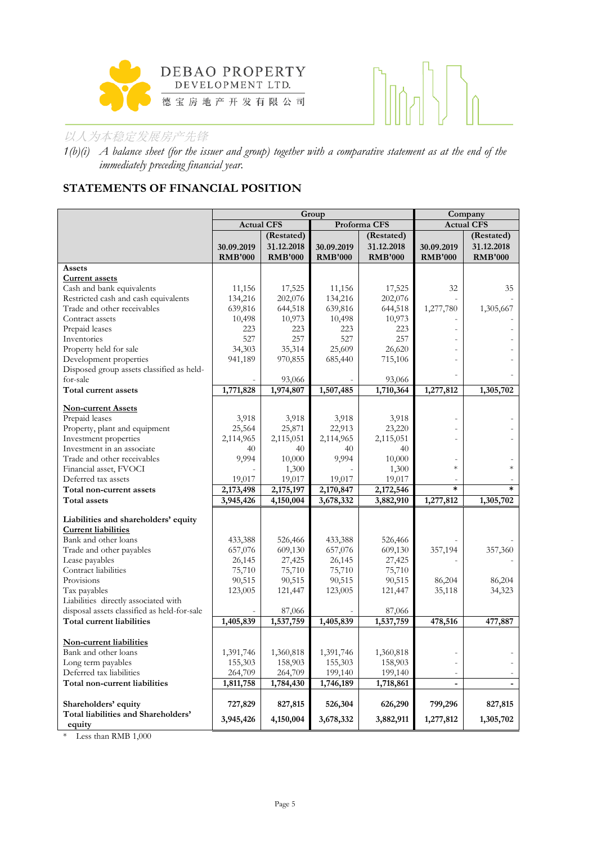



*1(b)(i) A balance sheet (for the issuer and group) together with a comparative statement as at the end of the immediately preceding financial year.*

# **STATEMENTS OF FINANCIAL POSITION**

|                                                                                                                                                                                                             |                                                                      | Group                                                                | Company                                                              |                                                                      |                      |                      |
|-------------------------------------------------------------------------------------------------------------------------------------------------------------------------------------------------------------|----------------------------------------------------------------------|----------------------------------------------------------------------|----------------------------------------------------------------------|----------------------------------------------------------------------|----------------------|----------------------|
|                                                                                                                                                                                                             | <b>Actual CFS</b>                                                    |                                                                      |                                                                      | Proforma CFS                                                         |                      | <b>Actual CFS</b>    |
|                                                                                                                                                                                                             |                                                                      | (Restated)                                                           |                                                                      | (Restated)                                                           |                      | (Restated)           |
|                                                                                                                                                                                                             | 30.09.2019                                                           | 31.12.2018                                                           | 30.09.2019                                                           | 31.12.2018                                                           | 30.09.2019           | 31.12.2018           |
|                                                                                                                                                                                                             | <b>RMB'000</b>                                                       | <b>RMB'000</b>                                                       | <b>RMB'000</b>                                                       | <b>RMB'000</b>                                                       | <b>RMB'000</b>       | <b>RMB'000</b>       |
| Assets                                                                                                                                                                                                      |                                                                      |                                                                      |                                                                      |                                                                      |                      |                      |
| <b>Current assets</b>                                                                                                                                                                                       |                                                                      |                                                                      |                                                                      |                                                                      |                      |                      |
| Cash and bank equivalents                                                                                                                                                                                   | 11,156                                                               | 17,525                                                               | 11,156                                                               | 17,525                                                               | 32                   | 35                   |
| Restricted cash and cash equivalents                                                                                                                                                                        | 134,216                                                              | 202,076                                                              | 134,216                                                              | 202,076                                                              |                      |                      |
| Trade and other receivables                                                                                                                                                                                 | 639,816                                                              | 644,518                                                              | 639,816                                                              | 644,518                                                              | 1,277,780            | 1,305,667            |
| Contract assets                                                                                                                                                                                             | 10,498                                                               | 10,973                                                               | 10,498                                                               | 10,973                                                               |                      |                      |
| Prepaid leases                                                                                                                                                                                              | 223                                                                  | 223                                                                  | 223                                                                  | 223                                                                  |                      |                      |
| Inventories                                                                                                                                                                                                 | 527                                                                  | 257                                                                  | 527                                                                  | 257                                                                  |                      |                      |
| Property held for sale                                                                                                                                                                                      | 34,303                                                               | 35,314                                                               | 25,609                                                               | 26,620                                                               |                      |                      |
| Development properties                                                                                                                                                                                      | 941,189                                                              | 970,855                                                              | 685,440                                                              | 715,106                                                              |                      |                      |
| Disposed group assets classified as held-                                                                                                                                                                   |                                                                      |                                                                      |                                                                      |                                                                      |                      |                      |
| for-sale                                                                                                                                                                                                    |                                                                      | 93,066                                                               |                                                                      | 93,066                                                               |                      |                      |
| Total current assets                                                                                                                                                                                        | 1,771,828                                                            | 1,974,807                                                            | 1,507,485                                                            | 1,710,364                                                            | 1,277,812            | 1,305,702            |
| <b>Non-current Assets</b>                                                                                                                                                                                   |                                                                      |                                                                      |                                                                      |                                                                      |                      |                      |
| Prepaid leases                                                                                                                                                                                              | 3,918                                                                | 3,918                                                                | 3,918                                                                | 3,918                                                                |                      |                      |
| Property, plant and equipment                                                                                                                                                                               | 25,564                                                               | 25,871                                                               | 22,913                                                               | 23,220                                                               |                      |                      |
| Investment properties                                                                                                                                                                                       | 2,114,965                                                            | 2,115,051                                                            | 2,114,965                                                            | 2,115,051                                                            |                      |                      |
| Investment in an associate                                                                                                                                                                                  | 40                                                                   | 40                                                                   | 40                                                                   | 40                                                                   |                      |                      |
| Trade and other receivables                                                                                                                                                                                 | 9,994                                                                | 10,000                                                               | 9.994                                                                | 10,000                                                               |                      |                      |
| Financial asset, FVOCI                                                                                                                                                                                      |                                                                      | 1,300                                                                |                                                                      | 1,300                                                                | $\ast$               |                      |
| Deferred tax assets                                                                                                                                                                                         | 19,017                                                               | 19,017                                                               | 19,017                                                               | 19,017                                                               |                      |                      |
| Total non-current assets                                                                                                                                                                                    | 2,173,498                                                            | 2,175,197                                                            | 2,170,847                                                            | 2,172,546                                                            | $\ast$               |                      |
| <b>Total assets</b>                                                                                                                                                                                         | 3,945,426                                                            | 4,150,004                                                            | 3,678,332                                                            | 3,882,910                                                            | 1,277,812            | 1,305,702            |
|                                                                                                                                                                                                             |                                                                      |                                                                      |                                                                      |                                                                      |                      |                      |
| Liabilities and shareholders' equity                                                                                                                                                                        |                                                                      |                                                                      |                                                                      |                                                                      |                      |                      |
| <b>Current liabilities</b>                                                                                                                                                                                  |                                                                      |                                                                      |                                                                      |                                                                      |                      |                      |
| Bank and other loans                                                                                                                                                                                        | 433,388                                                              | 526,466                                                              | 433,388                                                              | 526,466                                                              |                      |                      |
| Trade and other payables                                                                                                                                                                                    | 657,076                                                              | 609,130                                                              | 657,076                                                              | 609,130                                                              | 357,194              | 357,360              |
| Lease payables                                                                                                                                                                                              | 26,145                                                               | 27,425                                                               | 26,145                                                               | 27,425                                                               |                      |                      |
| Contract liabilities                                                                                                                                                                                        | 75,710                                                               | 75,710                                                               | 75,710                                                               | 75,710                                                               |                      |                      |
| Provisions                                                                                                                                                                                                  | 90,515                                                               | 90,515                                                               | 90,515                                                               | 90,515                                                               | 86,204               | 86,204               |
| Tax payables                                                                                                                                                                                                | 123,005                                                              | 121,447                                                              | 123,005                                                              | 121,447                                                              | 35,118               | 34,323               |
| Liabilities directly associated with                                                                                                                                                                        |                                                                      |                                                                      |                                                                      |                                                                      |                      |                      |
| disposal assets classified as held-for-sale                                                                                                                                                                 |                                                                      | 87,066                                                               |                                                                      | 87,066                                                               |                      |                      |
| <b>Total current liabilities</b>                                                                                                                                                                            | 1,405,839                                                            | 1,537,759                                                            | 1,405,839                                                            | 1,537,759                                                            | 478,516              | 477,887              |
|                                                                                                                                                                                                             |                                                                      |                                                                      |                                                                      |                                                                      |                      |                      |
|                                                                                                                                                                                                             |                                                                      |                                                                      |                                                                      |                                                                      |                      |                      |
|                                                                                                                                                                                                             |                                                                      |                                                                      |                                                                      |                                                                      |                      |                      |
|                                                                                                                                                                                                             |                                                                      |                                                                      |                                                                      |                                                                      |                      |                      |
|                                                                                                                                                                                                             |                                                                      |                                                                      |                                                                      |                                                                      |                      |                      |
|                                                                                                                                                                                                             |                                                                      |                                                                      |                                                                      |                                                                      |                      |                      |
|                                                                                                                                                                                                             |                                                                      |                                                                      |                                                                      |                                                                      |                      |                      |
|                                                                                                                                                                                                             |                                                                      |                                                                      |                                                                      |                                                                      |                      |                      |
|                                                                                                                                                                                                             |                                                                      |                                                                      |                                                                      |                                                                      |                      |                      |
| Non-current liabilities<br>Bank and other loans<br>Long term payables<br>Deferred tax liabilities<br>Total non-current liabilities<br>Shareholders' equity<br>Total liabilities and Shareholders'<br>equity | 1,391,746<br>155,303<br>264,709<br>1,811,758<br>727,829<br>3,945,426 | 1,360,818<br>158,903<br>264,709<br>1,784,430<br>827,815<br>4,150,004 | 1,391,746<br>155,303<br>199,140<br>1,746,189<br>526,304<br>3,678,332 | 1,360,818<br>158,903<br>199,140<br>1,718,861<br>626,290<br>3,882,911 | 799,296<br>1,277,812 | 827,815<br>1,305,702 |

\* Less than RMB 1,000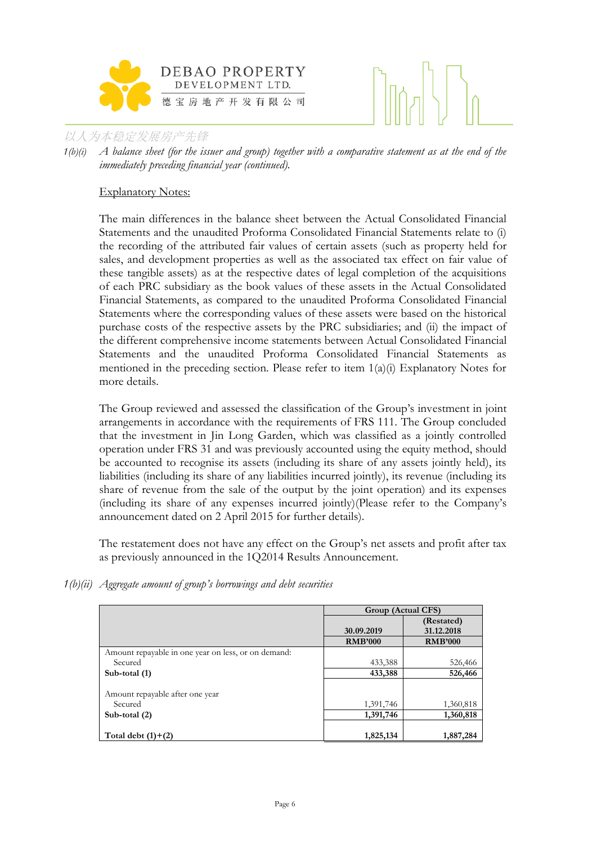

*1(b)(i) A balance sheet (for the issuer and group) together with a comparative statement as at the end of the immediately preceding financial year (continued).*

# Explanatory Notes:

The main differences in the balance sheet between the Actual Consolidated Financial Statements and the unaudited Proforma Consolidated Financial Statements relate to (i) the recording of the attributed fair values of certain assets (such as property held for sales, and development properties as well as the associated tax effect on fair value of these tangible assets) as at the respective dates of legal completion of the acquisitions of each PRC subsidiary as the book values of these assets in the Actual Consolidated Financial Statements, as compared to the unaudited Proforma Consolidated Financial Statements where the corresponding values of these assets were based on the historical purchase costs of the respective assets by the PRC subsidiaries; and (ii) the impact of the different comprehensive income statements between Actual Consolidated Financial Statements and the unaudited Proforma Consolidated Financial Statements as mentioned in the preceding section. Please refer to item  $1(a)(i)$  Explanatory Notes for more details.

The Group reviewed and assessed the classification of the Group's investment in joint arrangements in accordance with the requirements of FRS 111. The Group concluded that the investment in Jin Long Garden, which was classified as a jointly controlled operation under FRS 31 and was previously accounted using the equity method, should be accounted to recognise its assets (including its share of any assets jointly held), its liabilities (including its share of any liabilities incurred jointly), its revenue (including its share of revenue from the sale of the output by the joint operation) and its expenses (including its share of any expenses incurred jointly)(Please refer to the Company's announcement dated on 2 April 2015 for further details).

The restatement does not have any effect on the Group's net assets and profit after tax as previously announced in the 1Q2014 Results Announcement.

*1(b)(ii) Aggregate amount of group's borrowings and debt securities* 

|                                                     | Group (Actual CFS) |                |
|-----------------------------------------------------|--------------------|----------------|
|                                                     |                    | (Restated)     |
|                                                     | 30.09.2019         | 31.12.2018     |
|                                                     | <b>RMB'000</b>     | <b>RMB'000</b> |
| Amount repayable in one year on less, or on demand: |                    |                |
| Secured                                             | 433,388            | 526,466        |
| Sub-total (1)                                       | 433,388            | 526,466        |
|                                                     |                    |                |
| Amount repayable after one year                     |                    |                |
| Secured                                             | 1,391,746          | 1,360,818      |
| Sub-total $(2)$                                     | 1,391,746          | 1,360,818      |
|                                                     |                    |                |
| Total debt $(1)+(2)$                                | 1,825,134          | 1,887,284      |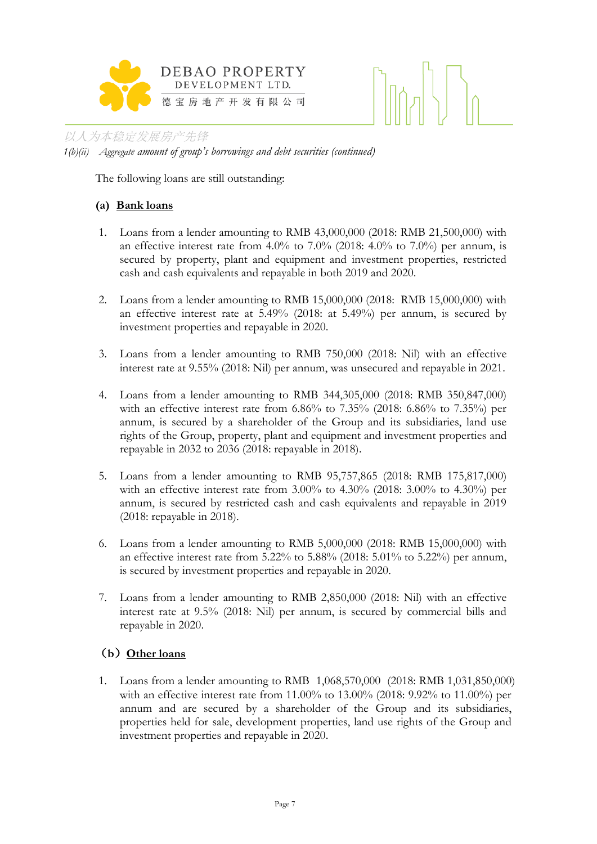



以人为本稳定发展房产先锋 *1(b)(ii) Aggregate amount of group's borrowings and debt securities (continued)*

The following loans are still outstanding:

# **(a) Bank loans**

- 1. Loans from a lender amounting to RMB 43,000,000 (2018: RMB 21,500,000) with an effective interest rate from 4.0% to 7.0% (2018: 4.0% to 7.0%) per annum, is secured by property, plant and equipment and investment properties, restricted cash and cash equivalents and repayable in both 2019 and 2020.
- 2. Loans from a lender amounting to RMB 15,000,000 (2018: RMB 15,000,000) with an effective interest rate at 5.49% (2018: at 5.49%) per annum, is secured by investment properties and repayable in 2020.
- 3. Loans from a lender amounting to RMB 750,000 (2018: Nil) with an effective interest rate at 9.55% (2018: Nil) per annum, was unsecured and repayable in 2021.
- 4. Loans from a lender amounting to RMB 344,305,000 (2018: RMB 350,847,000) with an effective interest rate from 6.86% to 7.35% (2018: 6.86% to 7.35%) per annum, is secured by a shareholder of the Group and its subsidiaries, land use rights of the Group, property, plant and equipment and investment properties and repayable in 2032 to 2036 (2018: repayable in 2018).
- 5. Loans from a lender amounting to RMB 95,757,865 (2018: RMB 175,817,000) with an effective interest rate from  $3.00\%$  to  $4.30\%$  (2018:  $3.00\%$  to  $4.30\%$ ) per annum, is secured by restricted cash and cash equivalents and repayable in 2019 (2018: repayable in 2018).
- 6. Loans from a lender amounting to RMB 5,000,000 (2018: RMB 15,000,000) with an effective interest rate from  $5.22\%$  to  $5.88\%$  (2018:  $5.01\%$  to  $5.22\%$ ) per annum, is secured by investment properties and repayable in 2020.
- 7. Loans from a lender amounting to RMB 2,850,000 (2018: Nil) with an effective interest rate at 9.5% (2018: Nil) per annum, is secured by commercial bills and repayable in 2020.

# (**b**)**Other loans**

1. Loans from a lender amounting to RMB 1,068,570,000 (2018: RMB 1,031,850,000) with an effective interest rate from 11.00% to 13.00% (2018: 9.92% to 11.00%) per annum and are secured by a shareholder of the Group and its subsidiaries, properties held for sale, development properties, land use rights of the Group and investment properties and repayable in 2020.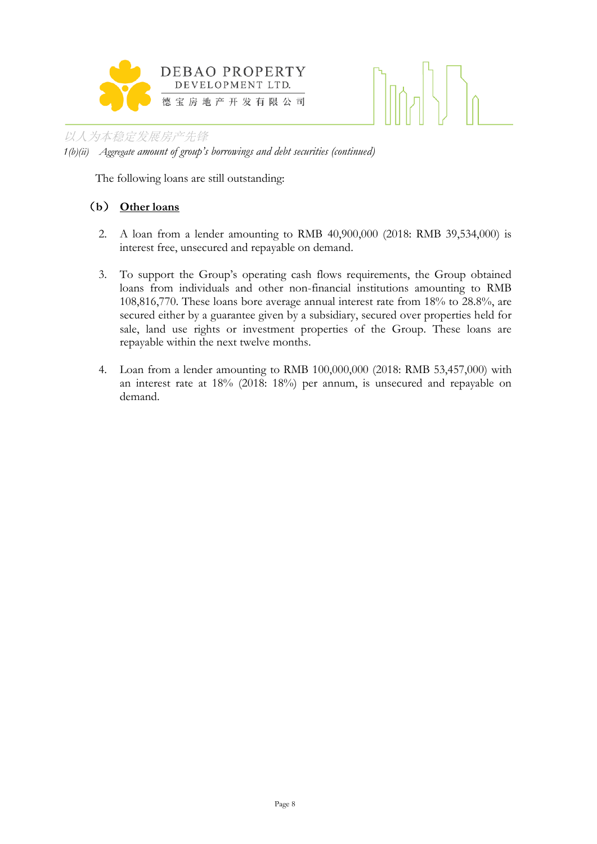



*1(b)(ii) Aggregate amount of group's borrowings and debt securities (continued)*

The following loans are still outstanding:

# (**b**) **Other loans**

- 2. A loan from a lender amounting to RMB 40,900,000 (2018: RMB 39,534,000) is interest free, unsecured and repayable on demand.
- 3. To support the Group's operating cash flows requirements, the Group obtained loans from individuals and other non-financial institutions amounting to RMB 108,816,770. These loans bore average annual interest rate from 18% to 28.8%, are secured either by a guarantee given by a subsidiary, secured over properties held for sale, land use rights or investment properties of the Group. These loans are repayable within the next twelve months.
- 4. Loan from a lender amounting to RMB 100,000,000 (2018: RMB 53,457,000) with an interest rate at 18% (2018: 18%) per annum, is unsecured and repayable on demand.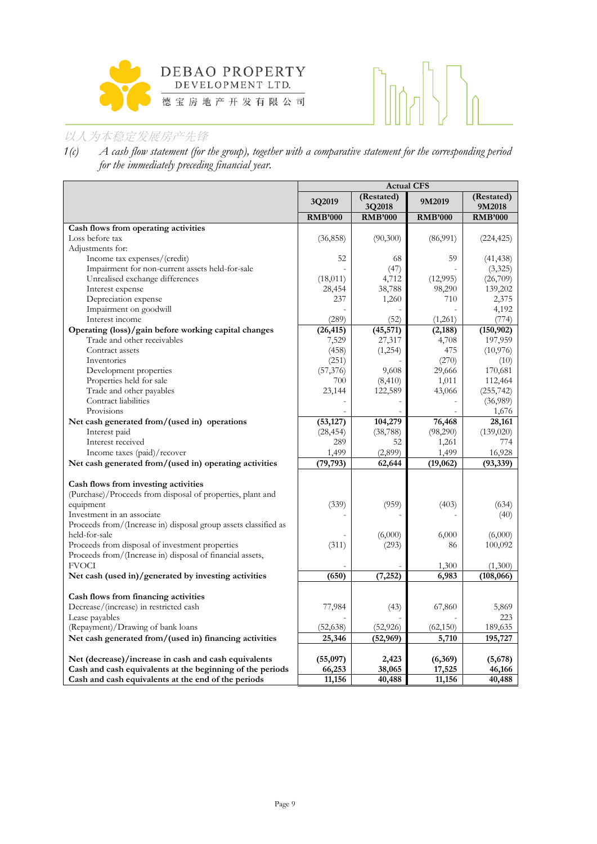



*1(c) A cash flow statement (for the group), together with a comparative statement for the corresponding period for the immediately preceding financial year.*

|                                                                                             | <b>Actual CFS</b>   |                        |                    |                      |  |
|---------------------------------------------------------------------------------------------|---------------------|------------------------|--------------------|----------------------|--|
|                                                                                             | 3Q2019              | (Restated)<br>3Q2018   | 9M2019             | (Restated)<br>9M2018 |  |
|                                                                                             | <b>RMB'000</b>      | <b>RMB'000</b>         | <b>RMB'000</b>     | <b>RMB'000</b>       |  |
| Cash flows from operating activities                                                        |                     |                        |                    |                      |  |
| Loss before tax                                                                             | (36, 858)           | (90,300)               | (86,991)           | (224, 425)           |  |
| Adjustments for:                                                                            |                     |                        |                    |                      |  |
| Income tax expenses/(credit)                                                                | 52                  | 68                     | 59                 | (41, 438)            |  |
| Impairment for non-current assets held-for-sale                                             |                     | (47)                   |                    | (3,325)              |  |
| Unrealised exchange differences                                                             | (18,011)            | 4,712                  | (12,995)           | (26,709)             |  |
| Interest expense                                                                            | 28,454              | 38,788                 | 98,290             | 139,202              |  |
| Depreciation expense                                                                        | 237                 | 1,260                  | 710                | 2,375                |  |
| Impairment on goodwill                                                                      |                     |                        |                    | 4,192                |  |
| Interest income                                                                             | (289)               | (52)                   | (1,261)            | (774)                |  |
| Operating (loss)/gain before working capital changes                                        | (26, 415)           | (45, 571)              | (2, 188)           | (150, 902)           |  |
| Trade and other receivables                                                                 | 7,529               | 27,317                 | 4,708              | 197,959              |  |
| Contract assets                                                                             | (458)               | (1,254)                | 475                | (10,976)             |  |
| Inventories                                                                                 | (251)               |                        | (270)              | (10)                 |  |
| Development properties                                                                      | (57, 376)           | 9,608                  | 29,666             | 170,681              |  |
| Properties held for sale                                                                    | 700                 | (8, 410)               | 1,011              | 112,464              |  |
| Trade and other payables                                                                    | 23,144              | 122,589                | 43,066             | (255, 742)           |  |
| Contract liabilities                                                                        |                     |                        |                    | (36,989)             |  |
| Provisions                                                                                  |                     |                        |                    | 1,676                |  |
| Net cash generated from/(used in) operations                                                | (53, 127)           | 104,279                | 76,468             | 28,161               |  |
| Interest paid                                                                               | (28, 454)           | (38, 788)              | (98,290)           | (139,020)            |  |
| Interest received                                                                           | 289                 | 52                     | 1,261              | 774                  |  |
| Income taxes (paid)/recover                                                                 | 1,499               | (2,899)                | 1,499              | 16,928               |  |
| Net cash generated from/(used in) operating activities                                      | (79, 793)           | 62,644                 | (19,062)           | (93, 339)            |  |
|                                                                                             |                     |                        |                    |                      |  |
| Cash flows from investing activities                                                        |                     |                        |                    |                      |  |
| (Purchase)/Proceeds from disposal of properties, plant and                                  |                     |                        |                    |                      |  |
| equipment                                                                                   | (339)               | (959)                  | (403)              | (634)                |  |
| Investment in an associate                                                                  |                     |                        |                    | (40)                 |  |
| Proceeds from/(Increase in) disposal group assets classified as                             |                     |                        |                    |                      |  |
| held-for-sale                                                                               |                     | (6,000)                | 6,000              | (6,000)              |  |
| Proceeds from disposal of investment properties                                             | (311)               | (293)                  | 86                 | 100,092              |  |
| Proceeds from/(Increase in) disposal of financial assets,<br><b>FVOCI</b>                   |                     |                        |                    |                      |  |
|                                                                                             |                     |                        | 1,300              | (1,300)              |  |
| Net cash (used in)/generated by investing activities                                        | (650)               | (7, 252)               | 6,983              | (108, 066)           |  |
| Cash flows from financing activities                                                        |                     |                        |                    |                      |  |
| Decrease/(increase) in restricted cash                                                      |                     |                        |                    | 5,869                |  |
| Lease payables                                                                              | 77,984              | (43)                   | 67,860             | 223                  |  |
|                                                                                             |                     |                        |                    | 189,635              |  |
| (Repayment)/Drawing of bank loans<br>Net cash generated from/(used in) financing activities | (52, 638)<br>25,346 | (52, 926)<br>(52, 969) | (62, 150)<br>5,710 | 195,727              |  |
|                                                                                             |                     |                        |                    |                      |  |
|                                                                                             |                     | 2,423                  |                    |                      |  |
| Net (decrease)/increase in cash and cash equivalents                                        | (55,097)            | 38,065                 | (6,369)            | (5,678)<br>46,166    |  |
| Cash and cash equivalents at the beginning of the periods                                   | 66,253              | 40,488                 | 17,525             |                      |  |
| Cash and cash equivalents at the end of the periods                                         | 11,156              |                        | 11,156             | 40,488               |  |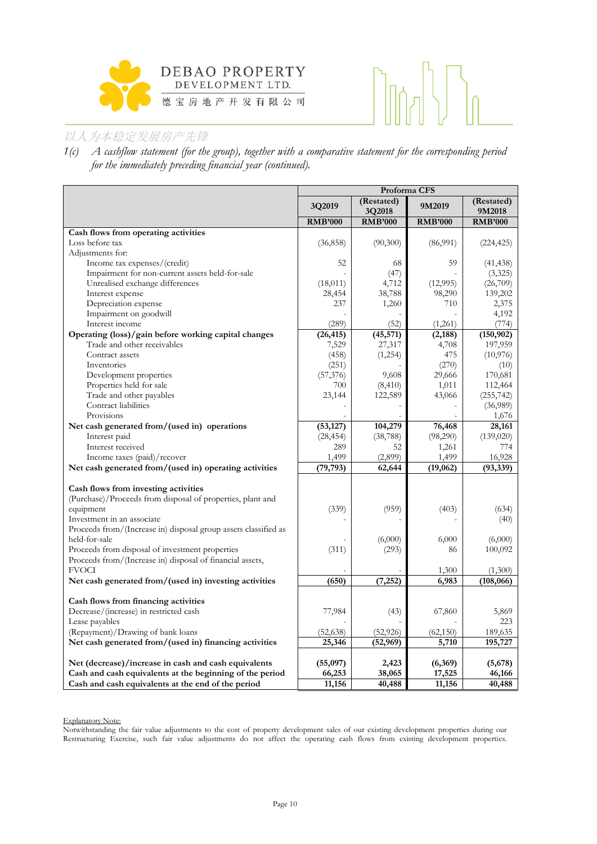



*1(c) A cashflow statement (for the group), together with a comparative statement for the corresponding period for the immediately preceding financial year (continued).*

|                                                                 |                | Proforma CFS         |                |                        |
|-----------------------------------------------------------------|----------------|----------------------|----------------|------------------------|
|                                                                 | 3Q2019         | (Restated)<br>3Q2018 | 9M2019         | (Restated)<br>9M2018   |
|                                                                 | <b>RMB'000</b> | <b>RMB'000</b>       | <b>RMB'000</b> | <b>RMB'000</b>         |
| Cash flows from operating activities                            |                |                      |                |                        |
| Loss before tax                                                 | (36, 858)      | (90,300)             | (86,991)       | (224, 425)             |
| Adjustments for:                                                |                |                      |                |                        |
| Income tax expenses/(credit)                                    | 52             | 68                   | 59             | (41, 438)              |
| Impairment for non-current assets held-for-sale                 |                | (47)                 |                | (3,325)                |
| Unrealised exchange differences                                 | (18,011)       | 4,712                | (12,995)       | (26,709)               |
| Interest expense                                                | 28,454         | 38,788               | 98,290         | 139,202                |
| Depreciation expense                                            | 237            | 1,260                | 710            | 2,375                  |
| Impairment on goodwill                                          |                |                      |                | 4,192                  |
| Interest income                                                 | (289)          | (52)                 | (1,261)        | (774)                  |
| Operating (loss)/gain before working capital changes            | (26, 415)      | (45, 571)            | (2, 188)       | (150, 902)             |
| Trade and other receivables                                     | 7,529          | 27,317               | 4,708          | 197,959                |
| Contract assets                                                 | (458)          | (1,254)              | 475            | (10,976)               |
| Inventories                                                     | (251)          |                      | (270)          | (10)                   |
| Development properties                                          | (57, 376)      | 9,608                | 29,666         | 170,681                |
| Properties held for sale<br>Trade and other payables            | 700            | (8, 410)<br>122,589  | 1,011          | 112,464                |
| Contract liabilities                                            | 23,144         |                      | 43,066         | (255, 742)<br>(36,989) |
| Provisions                                                      |                |                      |                | 1,676                  |
| Net cash generated from/(used in) operations                    | (53, 127)      | 104,279              | 76,468         | 28,161                 |
| Interest paid                                                   | (28, 454)      | (38, 788)            | (98,290)       | (139,020)              |
| Interest received                                               | 289            | 52                   | 1,261          | 774                    |
| Income taxes (paid)/recover                                     | 1,499          | (2,899)              | 1,499          | 16,928                 |
| Net cash generated from/(used in) operating activities          | (79, 793)      | 62,644               | (19,062)       | (93, 339)              |
|                                                                 |                |                      |                |                        |
| Cash flows from investing activities                            |                |                      |                |                        |
| (Purchase)/Proceeds from disposal of properties, plant and      |                |                      |                |                        |
| equipment                                                       | (339)          | (959)                | (403)          | (634)                  |
| Investment in an associate                                      |                |                      |                | (40)                   |
| Proceeds from/(Increase in) disposal group assets classified as |                |                      |                |                        |
| held-for-sale                                                   |                | (6,000)              | 6,000          | (6,000)                |
| Proceeds from disposal of investment properties                 | (311)          | (293)                | 86             | 100,092                |
| Proceeds from/(Increase in) disposal of financial assets,       |                |                      |                |                        |
| <b>FVOCI</b>                                                    |                |                      | 1,300          | (1,300)                |
| Net cash generated from/(used in) investing activities          | (650)          | (7, 252)             | 6,983          | (108, 066)             |
|                                                                 |                |                      |                |                        |
| Cash flows from financing activities                            |                |                      |                |                        |
| Decrease/(increase) in restricted cash                          | 77,984         | (43)                 | 67,860         | 5,869                  |
| Lease payables                                                  |                |                      |                | 223                    |
| (Repayment)/Drawing of bank loans                               | (52, 638)      | (52, 926)            | (62, 150)      | 189,635                |
| Net cash generated from/(used in) financing activities          | 25,346         | (52, 969)            | 5,710          | 195,727                |
|                                                                 |                |                      |                |                        |
| Net (decrease)/increase in cash and cash equivalents            | (55,097)       | 2,423                | (6,369)        | (5,678)                |
| Cash and cash equivalents at the beginning of the period        | 66,253         | 38,065               | 17,525         | 46,166                 |
| Cash and cash equivalents at the end of the period              | 11,156         | 40,488               | 11,156         | 40,488                 |

Explanatory Note:

Notwithstanding the fair value adjustments to the cost of property development sales of our existing development properties during our Restructuring Exercise, such fair value adjustments do not affect the operating cash flows from existing development properties.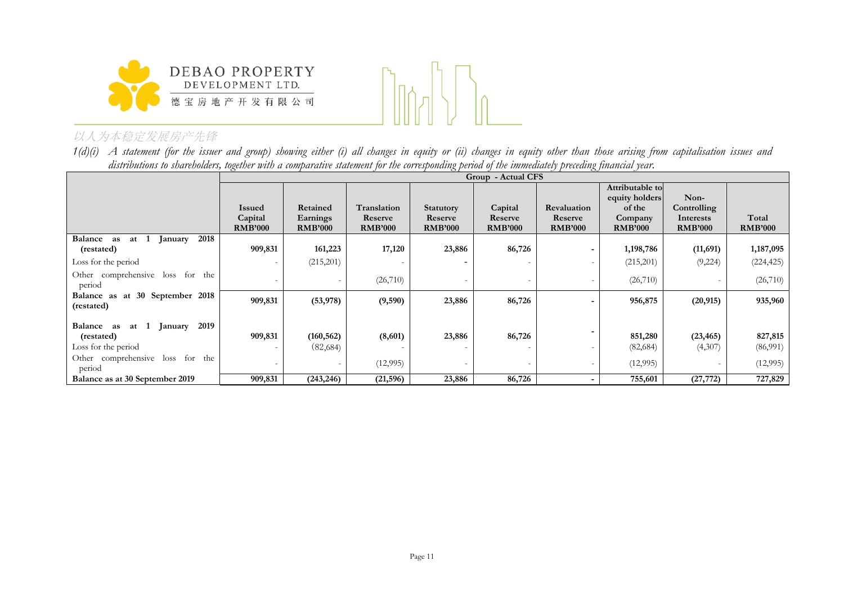



*1(d)(i) A statement (for the issuer and group) showing either (i) all changes in equity or (ii) changes in equity other than those arising from capitalisation issues and distributions to shareholders, together with a comparative statement for the corresponding period of the immediately preceding financial year.*

|                                                   |                                            |                                        |                                          |                                               | Group - Actual CFS                   |                                          |                                                                          |                                                    |                         |
|---------------------------------------------------|--------------------------------------------|----------------------------------------|------------------------------------------|-----------------------------------------------|--------------------------------------|------------------------------------------|--------------------------------------------------------------------------|----------------------------------------------------|-------------------------|
|                                                   | <b>Issued</b><br>Capital<br><b>RMB'000</b> | Retained<br>Earnings<br><b>RMB'000</b> | Translation<br>Reserve<br><b>RMB'000</b> | <b>Statutory</b><br>Reserve<br><b>RMB'000</b> | Capital<br>Reserve<br><b>RMB'000</b> | Revaluation<br>Reserve<br><b>RMB'000</b> | Attributable to<br>equity holders<br>of the<br>Company<br><b>RMB'000</b> | Non-<br>Controlling<br>Interests<br><b>RMB'000</b> | Total<br><b>RMB'000</b> |
| 2018<br><b>Balance</b><br>at $1$<br>as<br>January |                                            |                                        |                                          |                                               |                                      |                                          |                                                                          |                                                    |                         |
| (restated)                                        | 909,831                                    | 161,223                                | 17,120                                   | 23,886                                        | 86,726                               |                                          | 1,198,786                                                                | (11,691)                                           | 1,187,095               |
| Loss for the period                               |                                            | (215,201)                              |                                          |                                               |                                      |                                          | (215,201)                                                                | (9,224)                                            | (224, 425)              |
| Other comprehensive loss for the<br>period        |                                            |                                        | (26,710)                                 |                                               |                                      |                                          | (26,710)                                                                 |                                                    | (26,710)                |
| Balance as at 30 September 2018<br>(restated)     | 909,831                                    | (53, 978)                              | (9,590)                                  | 23,886                                        | 86,726                               | $\overline{\phantom{0}}$                 | 956,875                                                                  | (20, 915)                                          | 935,960                 |
| 2019<br>Balance as<br>January<br>at 1             |                                            |                                        |                                          |                                               |                                      |                                          |                                                                          |                                                    |                         |
| (restated)                                        | 909,831                                    | (160, 562)                             | (8,601)                                  | 23,886                                        | 86,726                               |                                          | 851,280                                                                  | (23, 465)                                          | 827,815                 |
| Loss for the period                               |                                            | (82,684)                               |                                          |                                               |                                      |                                          | (82, 684)                                                                | (4,307)                                            | (86,991)                |
| Other comprehensive loss for the<br>period        |                                            |                                        | (12,995)                                 |                                               |                                      |                                          | (12,995)                                                                 |                                                    | (12,995)                |
| Balance as at 30 September 2019                   | 909,831                                    | (243, 246)                             | (21, 596)                                | 23,886                                        | 86,726                               |                                          | 755,601                                                                  | (27, 772)                                          | 727,829                 |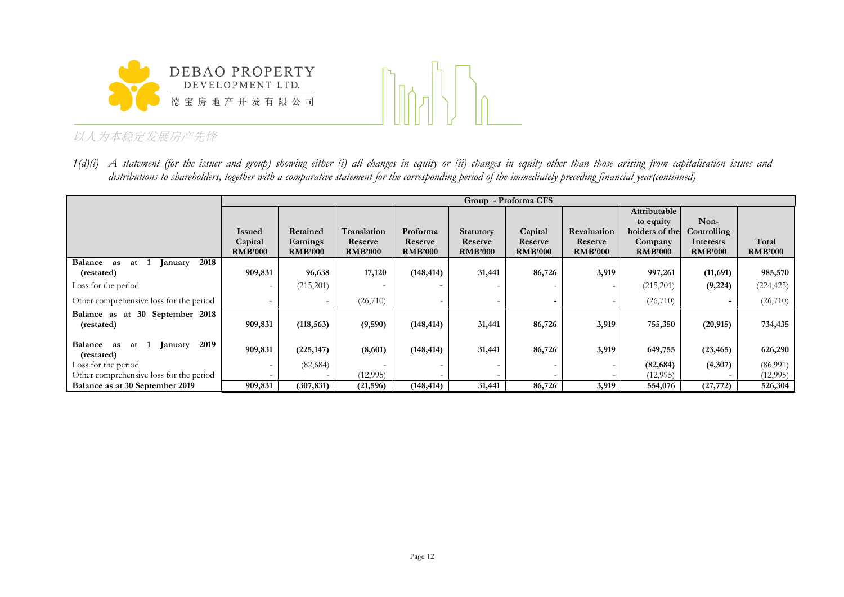



*1(d)(i) A statement (for the issuer and group) showing either (i) all changes in equity or (ii) changes in equity other than those arising from capitalisation issues and distributions to shareholders, together with a comparative statement for the corresponding period of the immediately preceding financial year(continued)*

|                                                        |                           |                            |                           |                           |                           | Group - Proforma CFS      |                           |                           |                             |                         |
|--------------------------------------------------------|---------------------------|----------------------------|---------------------------|---------------------------|---------------------------|---------------------------|---------------------------|---------------------------|-----------------------------|-------------------------|
|                                                        |                           |                            |                           |                           |                           |                           |                           | Attributable              |                             |                         |
|                                                        |                           |                            |                           |                           |                           |                           |                           | to equity                 | Non-                        |                         |
|                                                        | <b>Issued</b>             | Retained                   | Translation               | Proforma                  | <b>Statutory</b>          | Capital                   | Revaluation               | holders of the            | Controlling                 |                         |
|                                                        | Capital<br><b>RMB'000</b> | Earnings<br><b>RMB'000</b> | Reserve<br><b>RMB'000</b> | Reserve<br><b>RMB'000</b> | Reserve<br><b>RMB'000</b> | Reserve<br><b>RMB'000</b> | Reserve<br><b>RMB'000</b> | Company<br><b>RMB'000</b> | Interests<br><b>RMB'000</b> | Total<br><b>RMB'000</b> |
| 2018<br><b>Balance</b><br>at<br>as<br>anuary           |                           |                            |                           |                           |                           |                           |                           |                           |                             |                         |
| (restated)                                             | 909,831                   | 96,638                     | 17,120                    | (148, 414)                | 31,441                    | 86,726                    | 3,919                     | 997,261                   | (11,691)                    | 985,570                 |
| Loss for the period                                    |                           | (215,201)                  |                           |                           |                           |                           |                           | (215,201)                 | (9, 224)                    | (224, 425)              |
| Other comprehensive loss for the period                |                           | $\overline{\phantom{0}}$   | (26,710)                  |                           |                           |                           |                           | (26,710)                  |                             | (26, 710)               |
| Balance as at 30 September 2018<br>(restated)          | 909,831                   | (118, 563)                 | (9, 590)                  | (148, 414)                | 31,441                    | 86,726                    | 3,919                     | 755,350                   | (20, 915)                   | 734,435                 |
| 2019<br>Balance<br>January<br>at 1<br>as<br>(restated) | 909,831                   | (225, 147)                 | (8,601)                   | (148, 414)                | 31,441                    | 86,726                    | 3,919                     | 649,755                   | (23, 465)                   | 626,290                 |
| Loss for the period                                    |                           | (82, 684)                  |                           |                           |                           |                           |                           | (82, 684)                 | (4,307)                     | (86,991)                |
| Other comprehensive loss for the period                |                           |                            | (12,995)                  |                           |                           |                           |                           | (12,995)                  |                             | (12,995)                |
| Balance as at 30 September 2019                        | 909,831                   | (307, 831)                 | (21, 596)                 | (148, 414)                | 31,441                    | 86,726                    | 3,919                     | 554,076                   | (27, 772)                   | 526,304                 |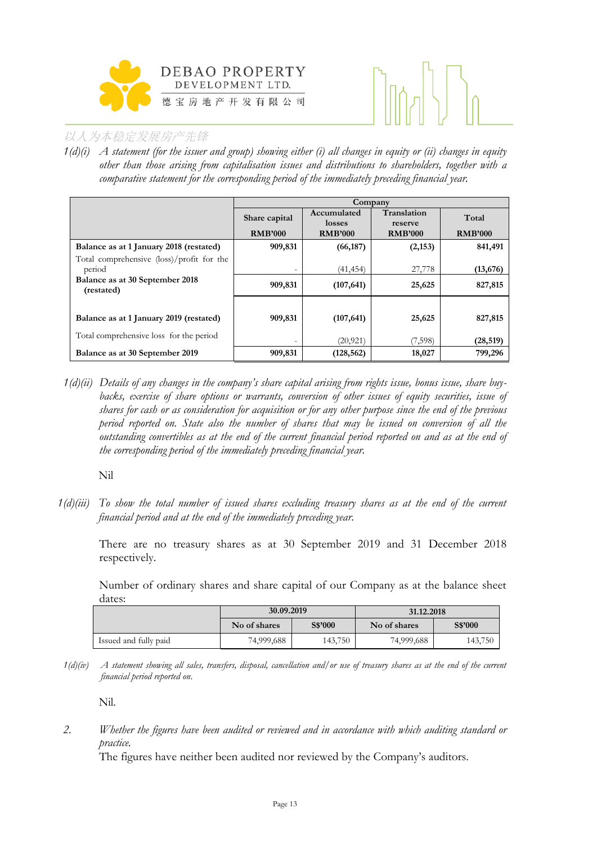



*1(d)(i) A statement (for the issuer and group) showing either (i) all changes in equity or (ii) changes in equity other than those arising from capitalisation issues and distributions to shareholders, together with a comparative statement for the corresponding period of the immediately preceding financial year.*

|                                                     | Company                         |                                         |                                          |                         |  |  |  |
|-----------------------------------------------------|---------------------------------|-----------------------------------------|------------------------------------------|-------------------------|--|--|--|
|                                                     | Share capital<br><b>RMB'000</b> | Accumulated<br>losses<br><b>RMB'000</b> | Translation<br>reserve<br><b>RMB'000</b> | Total<br><b>RMB'000</b> |  |  |  |
| Balance as at 1 January 2018 (restated)             | 909,831                         | (66, 187)                               | (2, 153)                                 | 841,491                 |  |  |  |
| Total comprehensive (loss)/profit for the<br>period | $\overline{\phantom{0}}$        | (41, 454)                               | 27,778                                   | (13,676)                |  |  |  |
| Balance as at 30 September 2018<br>(restated)       | 909,831                         | (107, 641)                              | 25,625                                   | 827,815                 |  |  |  |
|                                                     |                                 |                                         |                                          |                         |  |  |  |
| Balance as at 1 January 2019 (restated)             | 909,831                         | (107, 641)                              | 25,625                                   | 827,815                 |  |  |  |
| Total comprehensive loss for the period             | $\overline{\phantom{0}}$        | (20, 921)                               | (7,598)                                  | (28, 519)               |  |  |  |
| Balance as at 30 September 2019                     | 909,831                         | (128, 562)                              | 18,027                                   | 799,296                 |  |  |  |

*1(d)(ii) Details of any changes in the company's share capital arising from rights issue, bonus issue, share buybacks, exercise of share options or warrants, conversion of other issues of equity securities, issue of shares for cash or as consideration for acquisition or for any other purpose since the end of the previous period reported on. State also the number of shares that may be issued on conversion of all the outstanding convertibles as at the end of the current financial period reported on and as at the end of the corresponding period of the immediately preceding financial year.*

Nil

*1(d)(iii) To show the total number of issued shares excluding treasury shares as at the end of the current financial period and at the end of the immediately preceding year.* 

There are no treasury shares as at 30 September 2019 and 31 December 2018 respectively.

Number of ordinary shares and share capital of our Company as at the balance sheet dates:

|                       | 30.09.2019   |                | 31.12.2018              |         |  |  |
|-----------------------|--------------|----------------|-------------------------|---------|--|--|
|                       | No of shares | <b>S\$'000</b> | S\$'000<br>No of shares |         |  |  |
| Issued and fully paid | 74,999,688   | 143,750        | 74,999,688              | 143,750 |  |  |

*1(d)(iv) A statement showing all sales, transfers, disposal, cancellation and/or use of treasury shares as at the end of the current financial period reported on*.

Nil.

*2. Whether the figures have been audited or reviewed and in accordance with which auditing standard or practice.*

The figures have neither been audited nor reviewed by the Company's auditors.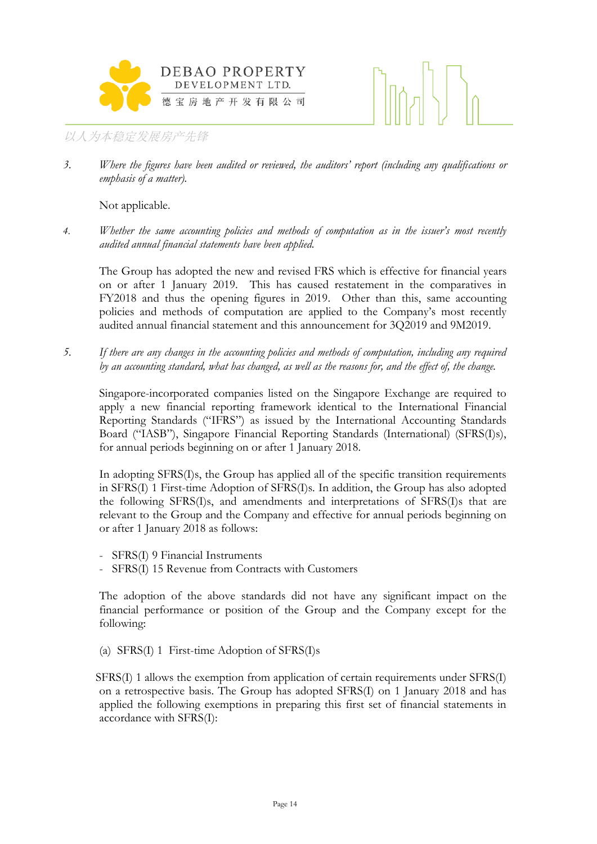



*3. Where the figures have been audited or reviewed, the auditors' report (including any qualifications or emphasis of a matter).*

Not applicable.

*4. Whether the same accounting policies and methods of computation as in the issuer's most recently audited annual financial statements have been applied.*

The Group has adopted the new and revised FRS which is effective for financial years on or after 1 January 2019. This has caused restatement in the comparatives in FY2018 and thus the opening figures in 2019. Other than this, same accounting policies and methods of computation are applied to the Company's most recently audited annual financial statement and this announcement for 3Q2019 and 9M2019.

*5. If there are any changes in the accounting policies and methods of computation, including any required by an accounting standard, what has changed, as well as the reasons for, and the effect of, the change.*

Singapore-incorporated companies listed on the Singapore Exchange are required to apply a new financial reporting framework identical to the International Financial Reporting Standards ("IFRS") as issued by the International Accounting Standards Board ("IASB"), Singapore Financial Reporting Standards (International) (SFRS(I)s), for annual periods beginning on or after 1 January 2018.

In adopting SFRS(I)s, the Group has applied all of the specific transition requirements in SFRS(I) 1 First-time Adoption of SFRS(I)s. In addition, the Group has also adopted the following SFRS(I)s, and amendments and interpretations of SFRS(I)s that are relevant to the Group and the Company and effective for annual periods beginning on or after 1 January 2018 as follows:

- SFRS(I) 9 Financial Instruments
- SFRS(I) 15 Revenue from Contracts with Customers

The adoption of the above standards did not have any significant impact on the financial performance or position of the Group and the Company except for the following:

(a) SFRS(I) 1 First-time Adoption of SFRS(I)s

SFRS(I) 1 allows the exemption from application of certain requirements under SFRS(I) on a retrospective basis. The Group has adopted SFRS(I) on 1 January 2018 and has applied the following exemptions in preparing this first set of financial statements in accordance with SFRS(I):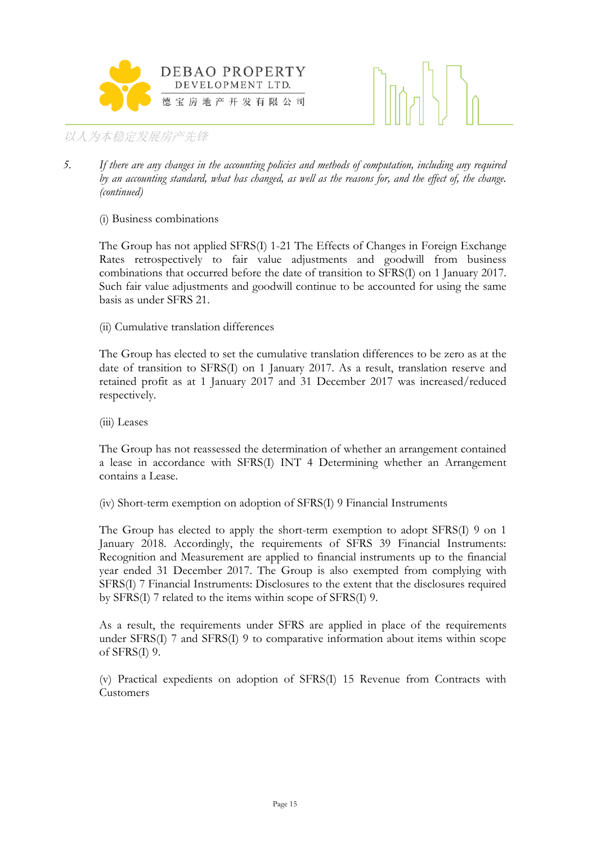



*5. If there are any changes in the accounting policies and methods of computation, including any required by an accounting standard, what has changed, as well as the reasons for, and the effect of, the change. (continued)*

# (i) Business combinations

The Group has not applied SFRS(I) 1-21 The Effects of Changes in Foreign Exchange Rates retrospectively to fair value adjustments and goodwill from business combinations that occurred before the date of transition to SFRS(I) on 1 January 2017. Such fair value adjustments and goodwill continue to be accounted for using the same basis as under SFRS 21.

# (ii) Cumulative translation differences

The Group has elected to set the cumulative translation differences to be zero as at the date of transition to SFRS(I) on 1 January 2017. As a result, translation reserve and retained profit as at 1 January 2017 and 31 December 2017 was increased/reduced respectively.

(iii) Leases

The Group has not reassessed the determination of whether an arrangement contained a lease in accordance with SFRS(I) INT 4 Determining whether an Arrangement contains a Lease.

(iv) Short-term exemption on adoption of SFRS(I) 9 Financial Instruments

The Group has elected to apply the short-term exemption to adopt SFRS(I) 9 on 1 January 2018. Accordingly, the requirements of SFRS 39 Financial Instruments: Recognition and Measurement are applied to financial instruments up to the financial year ended 31 December 2017. The Group is also exempted from complying with SFRS(I) 7 Financial Instruments: Disclosures to the extent that the disclosures required by SFRS(I) 7 related to the items within scope of SFRS(I) 9.

As a result, the requirements under SFRS are applied in place of the requirements under SFRS(I) 7 and SFRS(I) 9 to comparative information about items within scope of SFRS(I) 9.

(v) Practical expedients on adoption of SFRS(I) 15 Revenue from Contracts with Customers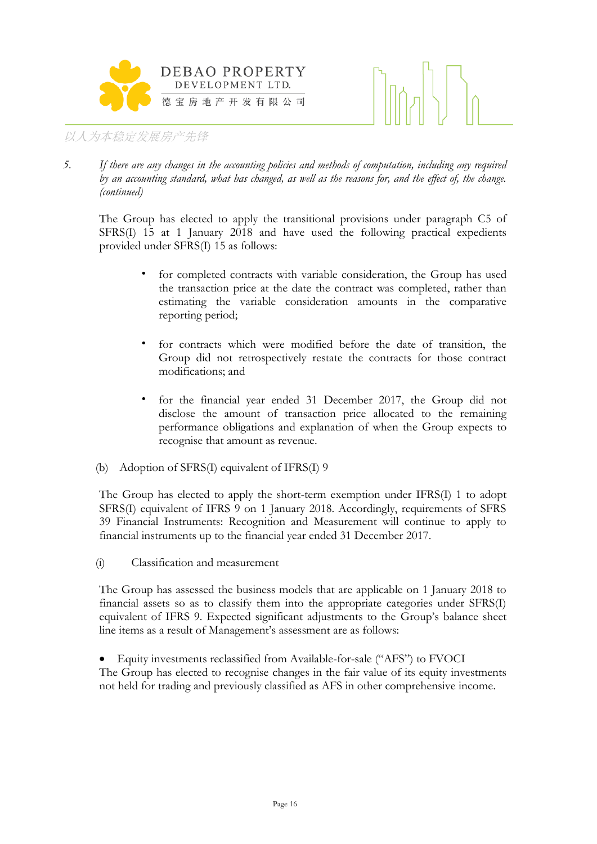



*5. If there are any changes in the accounting policies and methods of computation, including any required by an accounting standard, what has changed, as well as the reasons for, and the effect of, the change. (continued)*

The Group has elected to apply the transitional provisions under paragraph C5 of SFRS(I) 15 at 1 January 2018 and have used the following practical expedients provided under SFRS(I) 15 as follows:

- for completed contracts with variable consideration, the Group has used the transaction price at the date the contract was completed, rather than estimating the variable consideration amounts in the comparative reporting period;
- for contracts which were modified before the date of transition, the Group did not retrospectively restate the contracts for those contract modifications; and
- for the financial year ended 31 December 2017, the Group did not disclose the amount of transaction price allocated to the remaining performance obligations and explanation of when the Group expects to recognise that amount as revenue.
- (b) Adoption of SFRS(I) equivalent of IFRS(I) 9

The Group has elected to apply the short-term exemption under IFRS(I) 1 to adopt SFRS(I) equivalent of IFRS 9 on 1 January 2018. Accordingly, requirements of SFRS 39 Financial Instruments: Recognition and Measurement will continue to apply to financial instruments up to the financial year ended 31 December 2017.

(i) Classification and measurement

The Group has assessed the business models that are applicable on 1 January 2018 to financial assets so as to classify them into the appropriate categories under SFRS(I) equivalent of IFRS 9. Expected significant adjustments to the Group's balance sheet line items as a result of Management's assessment are as follows:

 Equity investments reclassified from Available-for-sale ("AFS") to FVOCI The Group has elected to recognise changes in the fair value of its equity investments not held for trading and previously classified as AFS in other comprehensive income.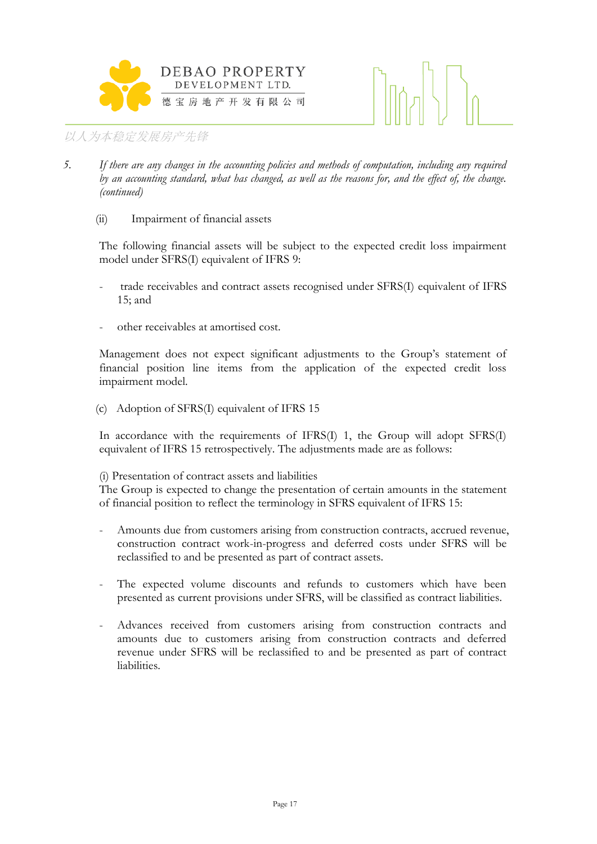



- *5. If there are any changes in the accounting policies and methods of computation, including any required by an accounting standard, what has changed, as well as the reasons for, and the effect of, the change. (continued)*
	- (ii) Impairment of financial assets

The following financial assets will be subject to the expected credit loss impairment model under SFRS(I) equivalent of IFRS 9:

- trade receivables and contract assets recognised under SFRS(I) equivalent of IFRS 15; and
- other receivables at amortised cost.

Management does not expect significant adjustments to the Group's statement of financial position line items from the application of the expected credit loss impairment model.

(c) Adoption of SFRS(I) equivalent of IFRS 15

In accordance with the requirements of IFRS(I) 1, the Group will adopt SFRS(I) equivalent of IFRS 15 retrospectively. The adjustments made are as follows:

## (i) Presentation of contract assets and liabilities

The Group is expected to change the presentation of certain amounts in the statement of financial position to reflect the terminology in SFRS equivalent of IFRS 15:

- Amounts due from customers arising from construction contracts, accrued revenue, construction contract work-in-progress and deferred costs under SFRS will be reclassified to and be presented as part of contract assets.
- The expected volume discounts and refunds to customers which have been presented as current provisions under SFRS, will be classified as contract liabilities.
- Advances received from customers arising from construction contracts and amounts due to customers arising from construction contracts and deferred revenue under SFRS will be reclassified to and be presented as part of contract liabilities.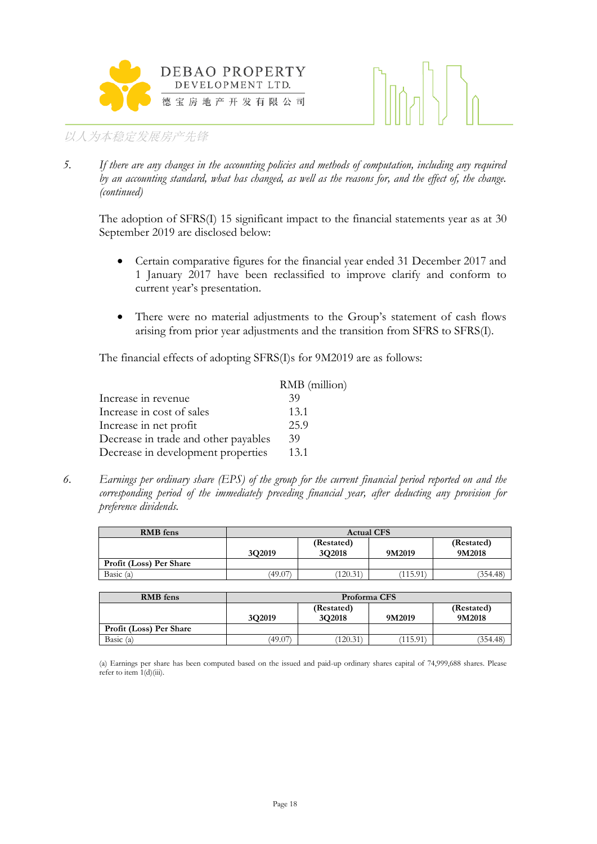



*5. If there are any changes in the accounting policies and methods of computation, including any required by an accounting standard, what has changed, as well as the reasons for, and the effect of, the change. (continued)*

The adoption of SFRS(I) 15 significant impact to the financial statements year as at 30 September 2019 are disclosed below:

- Certain comparative figures for the financial year ended 31 December 2017 and 1 January 2017 have been reclassified to improve clarify and conform to current year's presentation.
- There were no material adjustments to the Group's statement of cash flows arising from prior year adjustments and the transition from SFRS to SFRS(I).

The financial effects of adopting SFRS(I)s for 9M2019 are as follows:

|                                      | RMB (million) |
|--------------------------------------|---------------|
| Increase in revenue                  | 39            |
| Increase in cost of sales            | 13.1          |
| Increase in net profit               | 25.9          |
| Decrease in trade and other payables | 39            |
| Decrease in development properties   | 13.1          |

*6. Earnings per ordinary share (EPS) of the group for the current financial period reported on and the corresponding period of the immediately preceding financial year, after deducting any provision for preference dividends.*

| <b>RMB</b> fens         | <b>Actual CFS</b> |                      |         |                      |
|-------------------------|-------------------|----------------------|---------|----------------------|
|                         | 3Q2019            | (Restated)<br>3Q2018 | 9M2019  | (Restated)<br>9M2018 |
| Profit (Loss) Per Share |                   |                      |         |                      |
| Basic $(a)$             | (49.07)           | (120.31)             | 115.91` | (354.48)             |

| <b>RMB</b> fens         | Proforma CFS |                      |        |          |
|-------------------------|--------------|----------------------|--------|----------|
|                         | 3O2019       | (Restated)<br>9M2018 |        |          |
| Profit (Loss) Per Share |              |                      |        |          |
| Basic (a)               | (49.07)      | (120.31)             | 115.91 | (354.48) |

(a) Earnings per share has been computed based on the issued and paid-up ordinary shares capital of 74,999,688 shares. Please refer to item  $1(d)(iii)$ .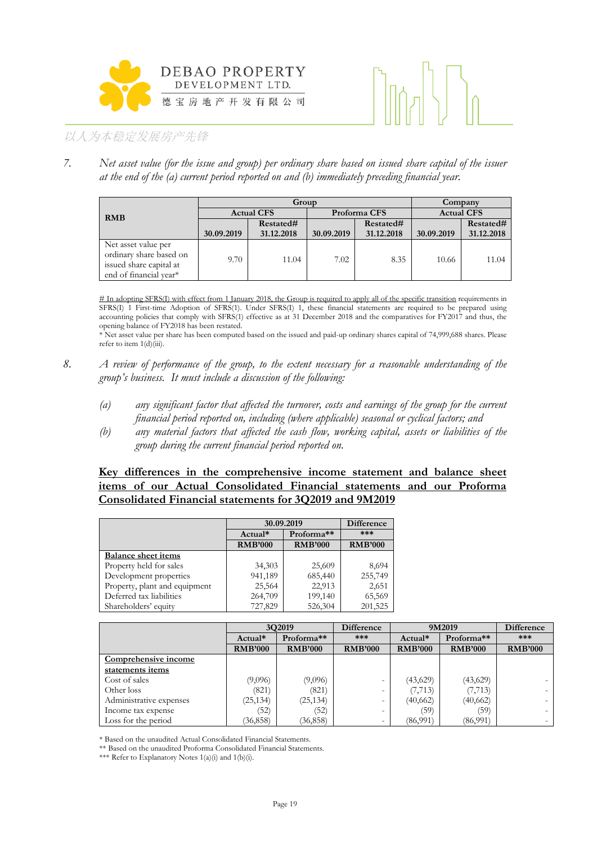



*7. Net asset value (for the issue and group) per ordinary share based on issued share capital of the issuer at the end of the (a) current period reported on and (b) immediately preceding financial year.*

| Group                   |                                   |            |            |            | Company    |                   |  |
|-------------------------|-----------------------------------|------------|------------|------------|------------|-------------------|--|
| <b>RMB</b>              | Proforma CFS<br><b>Actual CFS</b> |            |            |            |            | <b>Actual CFS</b> |  |
|                         |                                   | Restated#  |            | Restated#  |            | Restated#         |  |
|                         | 30.09.2019                        | 31.12.2018 | 30.09.2019 | 31.12.2018 | 30.09.2019 | 31.12.2018        |  |
| Net asset value per     |                                   |            |            |            |            |                   |  |
| ordinary share based on | 9.70                              | 11.04      | 7.02       | 8.35       | 10.66      | 11.04             |  |
| issued share capital at |                                   |            |            |            |            |                   |  |
| end of financial year*  |                                   |            |            |            |            |                   |  |

# In adopting SFRS(I) with effect from 1 January 2018, the Group is required to apply all of the specific transition requirements in SFRS(I) 1 First-time Adoption of SFRS(1). Under SFRS(I) 1, these financial statements are required to be prepared using accounting policies that comply with SFRS(1) effective as at 31 December 2018 and the comparatives for FY2017 and thus, the opening balance of FY2018 has been restated.

\* Net asset value per share has been computed based on the issued and paid-up ordinary shares capital of 74,999,688 shares. Please refer to item  $1(d)$ (iii).

- *8. A review of performance of the group, to the extent necessary for a reasonable understanding of the group's business. It must include a discussion of the following:*
	- *(a) any significant factor that affected the turnover, costs and earnings of the group for the current financial period reported on, including (where applicable) seasonal or cyclical factors; and*
	- *(b) any material factors that affected the cash flow, working capital, assets or liabilities of the group during the current financial period reported on.*

## **Key differences in the comprehensive income statement and balance sheet items of our Actual Consolidated Financial statements and our Proforma Consolidated Financial statements for 3Q2019 and 9M2019**

|                               |                | 30.09.2019             | <b>Difference</b> |
|-------------------------------|----------------|------------------------|-------------------|
|                               | $Actual*$      | Proforma <sup>**</sup> | ***               |
|                               | <b>RMB'000</b> | <b>RMB'000</b>         | <b>RMB'000</b>    |
| <b>Balance sheet items</b>    |                |                        |                   |
| Property held for sales       | 34,303         | 25,609                 | 8,694             |
| Development properties        | 941,189        | 685,440                | 255,749           |
| Property, plant and equipment | 25,564         | 22,913                 | 2,651             |
| Deferred tax liabilities      | 264,709        | 199,140                | 65,569            |
| Shareholders' equity          | 727,829        | 526,304                | 201,525           |

|                         |                | 3Q2019         | Difference               |                | 9M2019                 | Difference               |
|-------------------------|----------------|----------------|--------------------------|----------------|------------------------|--------------------------|
|                         | Actual*        | Proforma**     | ***                      | Actual*        | Proforma <sup>**</sup> | ***                      |
|                         | <b>RMB'000</b> | <b>RMB'000</b> | <b>RMB'000</b>           | <b>RMB'000</b> | <b>RMB'000</b>         | <b>RMB'000</b>           |
| Comprehensive income    |                |                |                          |                |                        |                          |
| statements items        |                |                |                          |                |                        |                          |
| Cost of sales           | (9,096)        | (9,096)        |                          | (43,629)       | (43,629)               | $\overline{\phantom{a}}$ |
| Other loss              | (821)          | (821)          | $\overline{\phantom{0}}$ | (7, 713)       | (7, 713)               | $\sim$                   |
| Administrative expenses | (25, 134)      | (25, 134)      | $\overline{\phantom{0}}$ | (40,662)       | (40,662)               | $\sim$                   |
| Income tax expense      | (52)           | (52)           | $\overline{\phantom{0}}$ | (59)           | (59)                   | $\sim$                   |
| Loss for the period     | (36, 858)      | (36, 858)      | $\overline{\phantom{a}}$ | (86,991)       | (86,991)               |                          |

\* Based on the unaudited Actual Consolidated Financial Statements.

\*\* Based on the unaudited Proforma Consolidated Financial Statements.

\*\*\* Refer to Explanatory Notes 1(a)(i) and 1(b)(i).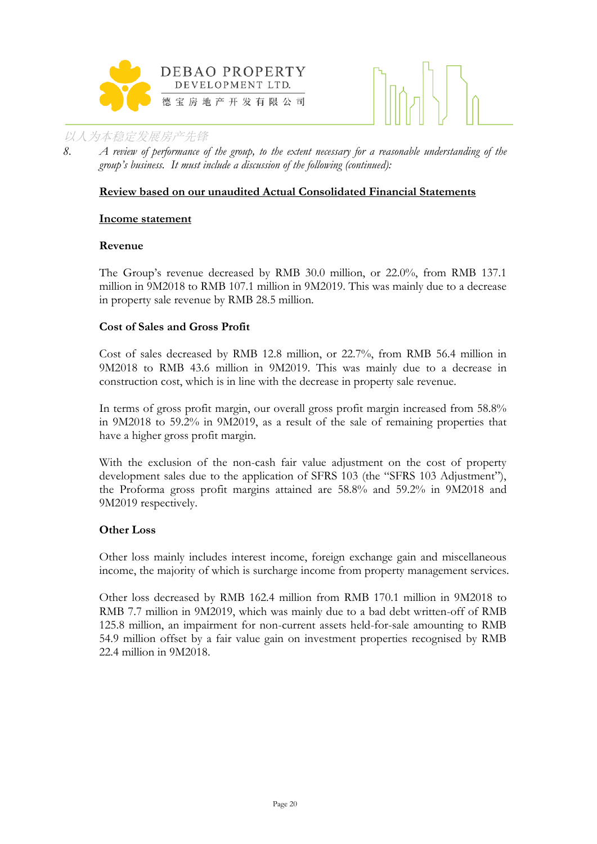



*8. A review of performance of the group, to the extent necessary for a reasonable understanding of the group's business. It must include a discussion of the following (continued):*

# **Review based on our unaudited Actual Consolidated Financial Statements**

#### **Income statement**

#### **Revenue**

The Group's revenue decreased by RMB 30.0 million, or 22.0%, from RMB 137.1 million in 9M2018 to RMB 107.1 million in 9M2019. This was mainly due to a decrease in property sale revenue by RMB 28.5 million.

#### **Cost of Sales and Gross Profit**

Cost of sales decreased by RMB 12.8 million, or 22.7%, from RMB 56.4 million in 9M2018 to RMB 43.6 million in 9M2019. This was mainly due to a decrease in construction cost, which is in line with the decrease in property sale revenue.

In terms of gross profit margin, our overall gross profit margin increased from 58.8% in 9M2018 to 59.2% in 9M2019, as a result of the sale of remaining properties that have a higher gross profit margin.

With the exclusion of the non-cash fair value adjustment on the cost of property development sales due to the application of SFRS 103 (the "SFRS 103 Adjustment"), the Proforma gross profit margins attained are 58.8% and 59.2% in 9M2018 and 9M2019 respectively.

## **Other Loss**

Other loss mainly includes interest income, foreign exchange gain and miscellaneous income, the majority of which is surcharge income from property management services.

Other loss decreased by RMB 162.4 million from RMB 170.1 million in 9M2018 to RMB 7.7 million in 9M2019, which was mainly due to a bad debt written-off of RMB 125.8 million, an impairment for non-current assets held-for-sale amounting to RMB 54.9 million offset by a fair value gain on investment properties recognised by RMB 22.4 million in 9M2018.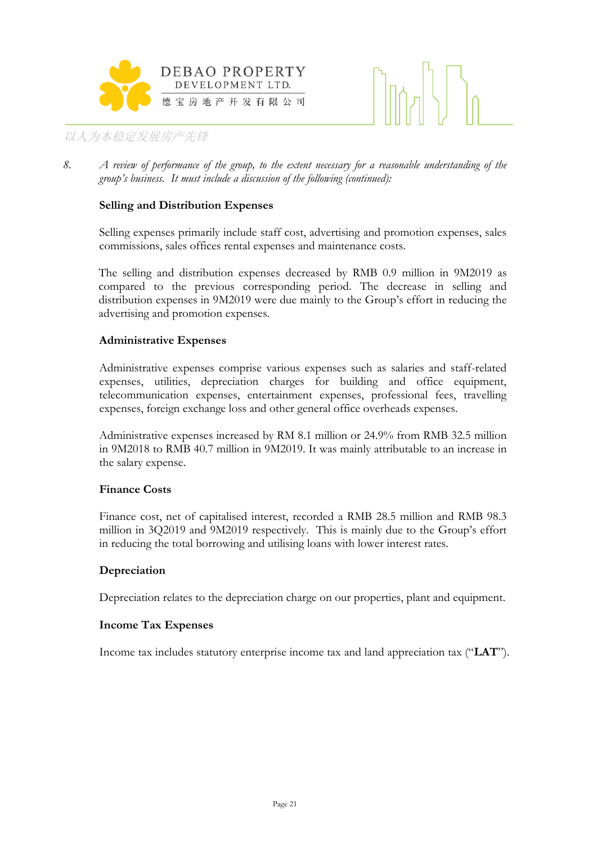



*8. A review of performance of the group, to the extent necessary for a reasonable understanding of the group's business. It must include a discussion of the following (continued):*

# **Selling and Distribution Expenses**

Selling expenses primarily include staff cost, advertising and promotion expenses, sales commissions, sales offices rental expenses and maintenance costs.

The selling and distribution expenses decreased by RMB 0.9 million in 9M2019 as compared to the previous corresponding period. The decrease in selling and distribution expenses in 9M2019 were due mainly to the Group's effort in reducing the advertising and promotion expenses.

#### **Administrative Expenses**

Administrative expenses comprise various expenses such as salaries and staff-related expenses, utilities, depreciation charges for building and office equipment, telecommunication expenses, entertainment expenses, professional fees, travelling expenses, foreign exchange loss and other general office overheads expenses.

Administrative expenses increased by RM 8.1 million or 24.9% from RMB 32.5 million in 9M2018 to RMB 40.7 million in 9M2019. It was mainly attributable to an increase in the salary expense.

## **Finance Costs**

Finance cost, net of capitalised interest, recorded a RMB 28.5 million and RMB 98.3 million in 3Q2019 and 9M2019 respectively. This is mainly due to the Group's effort in reducing the total borrowing and utilising loans with lower interest rates.

#### **Depreciation**

Depreciation relates to the depreciation charge on our properties, plant and equipment.

#### **Income Tax Expenses**

Income tax includes statutory enterprise income tax and land appreciation tax ("**LAT**").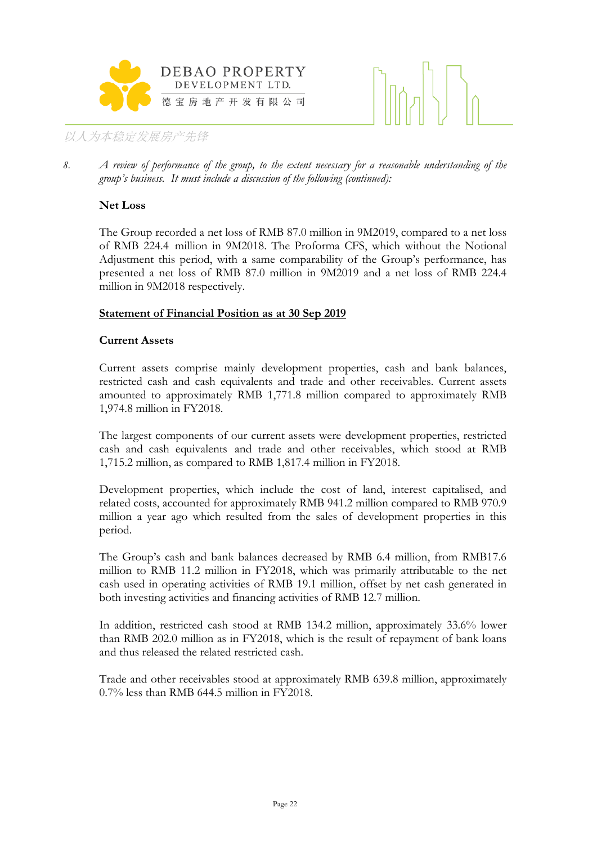



*8. A review of performance of the group, to the extent necessary for a reasonable understanding of the group's business. It must include a discussion of the following (continued):*

# **Net Loss**

The Group recorded a net loss of RMB 87.0 million in 9M2019, compared to a net loss of RMB 224.4 million in 9M2018. The Proforma CFS, which without the Notional Adjustment this period, with a same comparability of the Group's performance, has presented a net loss of RMB 87.0 million in 9M2019 and a net loss of RMB 224.4 million in 9M2018 respectively.

# **Statement of Financial Position as at 30 Sep 2019**

## **Current Assets**

Current assets comprise mainly development properties, cash and bank balances, restricted cash and cash equivalents and trade and other receivables. Current assets amounted to approximately RMB 1,771.8 million compared to approximately RMB 1,974.8 million in FY2018.

The largest components of our current assets were development properties, restricted cash and cash equivalents and trade and other receivables, which stood at RMB 1,715.2 million, as compared to RMB 1,817.4 million in FY2018.

Development properties, which include the cost of land, interest capitalised, and related costs, accounted for approximately RMB 941.2 million compared to RMB 970.9 million a year ago which resulted from the sales of development properties in this period.

The Group's cash and bank balances decreased by RMB 6.4 million, from RMB17.6 million to RMB 11.2 million in FY2018, which was primarily attributable to the net cash used in operating activities of RMB 19.1 million, offset by net cash generated in both investing activities and financing activities of RMB 12.7 million.

In addition, restricted cash stood at RMB 134.2 million, approximately 33.6% lower than RMB 202.0 million as in FY2018, which is the result of repayment of bank loans and thus released the related restricted cash.

Trade and other receivables stood at approximately RMB 639.8 million, approximately 0.7% less than RMB 644.5 million in FY2018.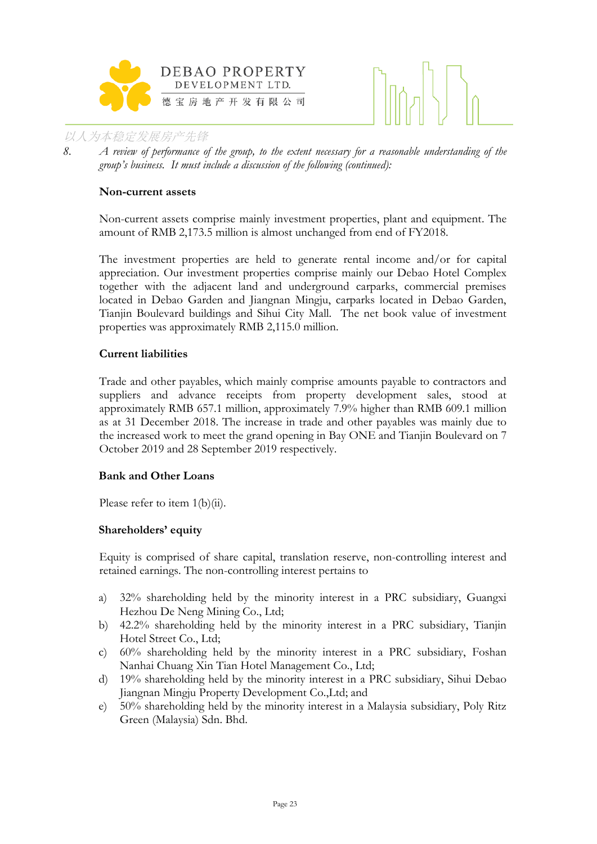



*8. A review of performance of the group, to the extent necessary for a reasonable understanding of the group's business. It must include a discussion of the following (continued):*

#### **Non-current assets**

Non-current assets comprise mainly investment properties, plant and equipment. The amount of RMB 2,173.5 million is almost unchanged from end of FY2018.

The investment properties are held to generate rental income and/or for capital appreciation. Our investment properties comprise mainly our Debao Hotel Complex together with the adjacent land and underground carparks, commercial premises located in Debao Garden and Jiangnan Mingju, carparks located in Debao Garden, Tianjin Boulevard buildings and Sihui City Mall. The net book value of investment properties was approximately RMB 2,115.0 million.

## **Current liabilities**

Trade and other payables, which mainly comprise amounts payable to contractors and suppliers and advance receipts from property development sales, stood at approximately RMB 657.1 million, approximately 7.9% higher than RMB 609.1 million as at 31 December 2018. The increase in trade and other payables was mainly due to the increased work to meet the grand opening in Bay ONE and Tianjin Boulevard on 7 October 2019 and 28 September 2019 respectively.

## **Bank and Other Loans**

Please refer to item 1(b)(ii).

#### **Shareholders' equity**

Equity is comprised of share capital, translation reserve, non-controlling interest and retained earnings. The non-controlling interest pertains to

- a) 32% shareholding held by the minority interest in a PRC subsidiary, Guangxi Hezhou De Neng Mining Co., Ltd;
- b) 42.2% shareholding held by the minority interest in a PRC subsidiary, Tianjin Hotel Street Co., Ltd;
- c) 60% shareholding held by the minority interest in a PRC subsidiary, Foshan Nanhai Chuang Xin Tian Hotel Management Co., Ltd;
- d) 19% shareholding held by the minority interest in a PRC subsidiary, Sihui Debao Jiangnan Mingju Property Development Co.,Ltd; and
- e) 50% shareholding held by the minority interest in a Malaysia subsidiary, Poly Ritz Green (Malaysia) Sdn. Bhd.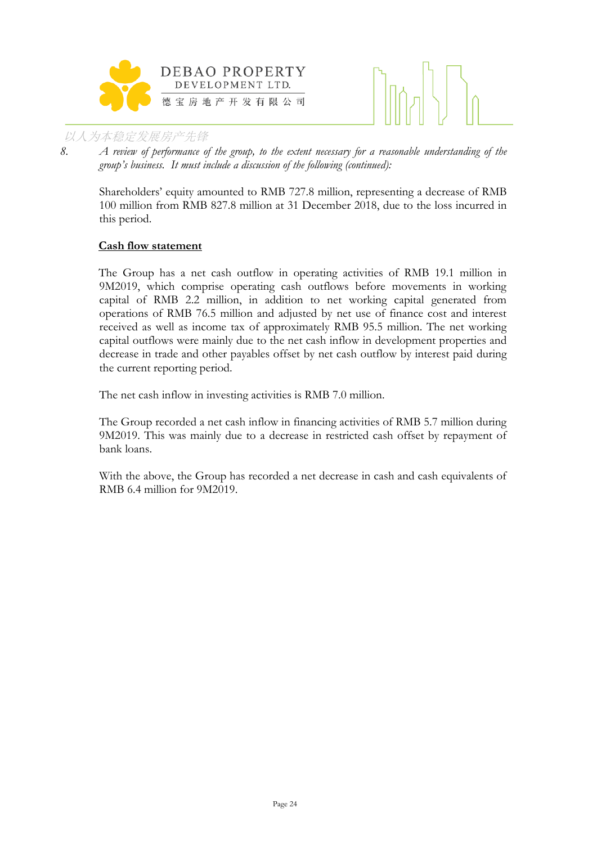



*8. A review of performance of the group, to the extent necessary for a reasonable understanding of the group's business. It must include a discussion of the following (continued):*

Shareholders' equity amounted to RMB 727.8 million, representing a decrease of RMB 100 million from RMB 827.8 million at 31 December 2018, due to the loss incurred in this period.

## **Cash flow statement**

The Group has a net cash outflow in operating activities of RMB 19.1 million in 9M2019, which comprise operating cash outflows before movements in working capital of RMB 2.2 million, in addition to net working capital generated from operations of RMB 76.5 million and adjusted by net use of finance cost and interest received as well as income tax of approximately RMB 95.5 million. The net working capital outflows were mainly due to the net cash inflow in development properties and decrease in trade and other payables offset by net cash outflow by interest paid during the current reporting period.

The net cash inflow in investing activities is RMB 7.0 million.

The Group recorded a net cash inflow in financing activities of RMB 5.7 million during 9M2019. This was mainly due to a decrease in restricted cash offset by repayment of bank loans.

With the above, the Group has recorded a net decrease in cash and cash equivalents of RMB 6.4 million for 9M2019.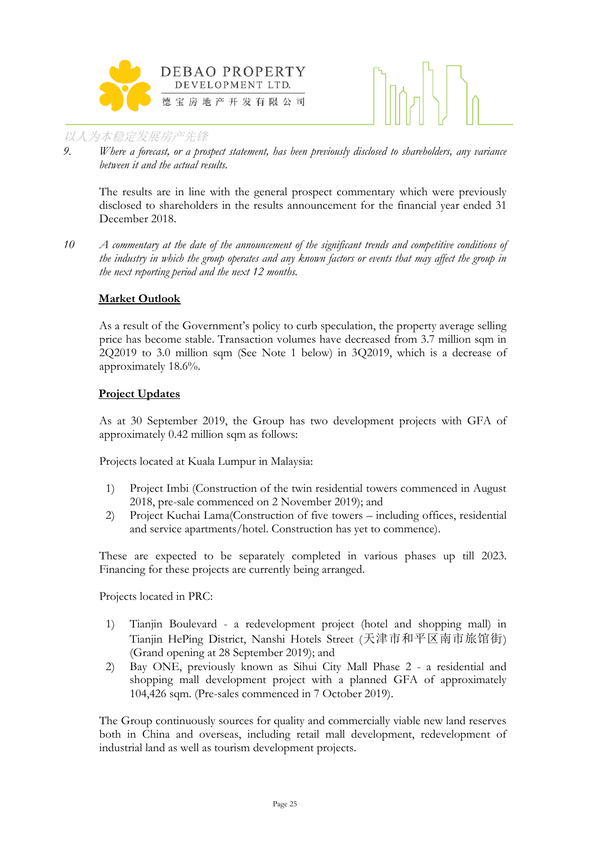



*9. Where a forecast, or a prospect statement, has been previously disclosed to shareholders, any variance between it and the actual results.*

The results are in line with the general prospect commentary which were previously disclosed to shareholders in the results announcement for the financial year ended 31 December 2018.

*10 A commentary at the date of the announcement of the significant trends and competitive conditions of the industry in which the group operates and any known factors or events that may affect the group in the next reporting period and the next 12 months.*

## **Market Outlook**

As a result of the Government's policy to curb speculation, the property average selling price has become stable. Transaction volumes have decreased from 3.7 million sqm in 2Q2019 to 3.0 million sqm (See Note 1 below) in 3Q2019, which is a decrease of approximately 18.6%.

## **Project Updates**

As at 30 September 2019, the Group has two development projects with GFA of approximately 0.42 million sqm as follows:

Projects located at Kuala Lumpur in Malaysia:

- 1) Project Imbi (Construction of the twin residential towers commenced in August 2018, pre-sale commenced on 2 November 2019); and
- 2) Project Kuchai Lama(Construction of five towers including offices, residential and service apartments/hotel. Construction has yet to commence).

These are expected to be separately completed in various phases up till 2023. Financing for these projects are currently being arranged.

Projects located in PRC:

- 1) Tianjin Boulevard a redevelopment project (hotel and shopping mall) in Tianjin HePing District, Nanshi Hotels Street (天津市和平区南市旅馆街) (Grand opening at 28 September 2019); and
- 2) Bay ONE, previously known as Sihui City Mall Phase 2 a residential and shopping mall development project with a planned GFA of approximately 104,426 sqm. (Pre-sales commenced in 7 October 2019).

The Group continuously sources for quality and commercially viable new land reserves both in China and overseas, including retail mall development, redevelopment of industrial land as well as tourism development projects.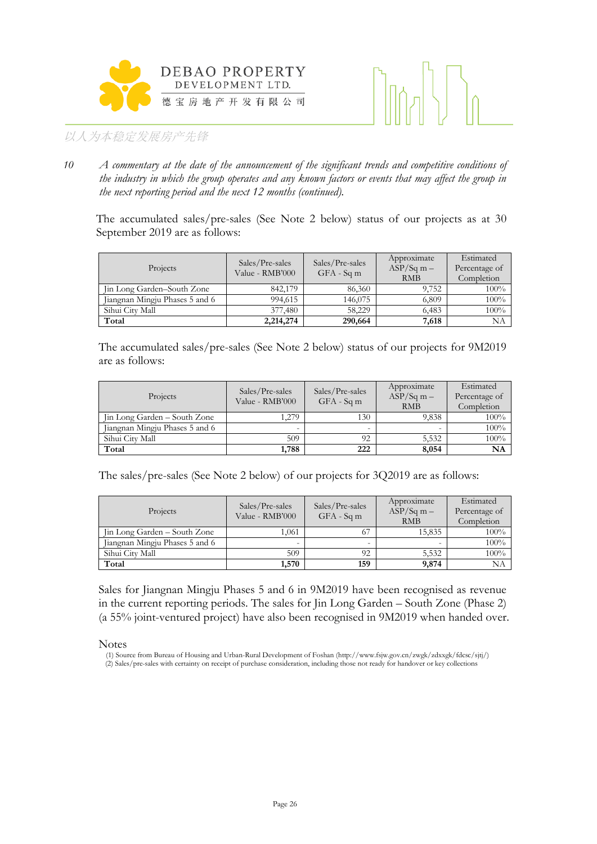



*10 A commentary at the date of the announcement of the significant trends and competitive conditions of the industry in which the group operates and any known factors or events that may affect the group in the next reporting period and the next 12 months (continued).*

The accumulated sales/pre-sales (See Note 2 below) status of our projects as at 30 September 2019 are as follows:

| Projects                       | Sales/Pre-sales<br>Value - RMB'000 | Sales/Pre-sales<br>$GFA - Sqm$ | Approximate<br>$ASP/Sq$ m –<br><b>RMB</b> | Estimated<br>Percentage of<br>Completion |
|--------------------------------|------------------------------------|--------------------------------|-------------------------------------------|------------------------------------------|
| Jin Long Garden–South Zone     | 842,179                            | 86,360                         | 9.752                                     | $100\%$                                  |
| Jiangnan Mingju Phases 5 and 6 | 994,615                            | 146,075                        | 6,809                                     | 100%                                     |
| Sihui City Mall                | 377,480                            | 58.229                         | 6,483                                     | 100%                                     |
| Total                          | 2,214,274                          | 290,664                        | 7,618                                     | NΑ                                       |

The accumulated sales/pre-sales (See Note 2 below) status of our projects for 9M2019 are as follows:

| Projects                       | Sales/Pre-sales<br>Value - RMB'000 | Sales/Pre-sales<br>$GFA - Sqm$ | Approximate<br>$ASP/Sq$ m –<br><b>RMB</b> | Estimated<br>Percentage of<br>Completion |
|--------------------------------|------------------------------------|--------------------------------|-------------------------------------------|------------------------------------------|
| Jin Long Garden – South Zone   | 1.279                              | 130                            | 9,838                                     | 100%                                     |
| Jiangnan Mingju Phases 5 and 6 |                                    |                                |                                           | $100\%$                                  |
| Sihui City Mall                | 509                                | 92                             | 5,532                                     | 100%                                     |
| Total                          | 1,788                              | 222                            | 8,054                                     | NA                                       |

The sales/pre-sales (See Note 2 below) of our projects for 3Q2019 are as follows:

| Projects                       | Sales/Pre-sales<br>Value - RMB'000 | Sales/Pre-sales<br>$GFA - Sqm$ | Approximate<br>$ASP/Sq$ m –<br><b>RMB</b> | Estimated<br>Percentage of<br>Completion |
|--------------------------------|------------------------------------|--------------------------------|-------------------------------------------|------------------------------------------|
| Jin Long Garden – South Zone   | 1.061                              | 67                             | 15,835                                    | $100\%$                                  |
| Jiangnan Mingju Phases 5 and 6 |                                    |                                |                                           | 100%                                     |
| Sihui City Mall                | 509                                | 92                             | 5,532                                     | 100%                                     |
| Total                          | 1,570                              | 159                            | 9,874                                     | NΑ                                       |

Sales for Jiangnan Mingju Phases 5 and 6 in 9M2019 have been recognised as revenue in the current reporting periods. The sales for Jin Long Garden – South Zone (Phase 2) (a 55% joint-ventured project) have also been recognised in 9M2019 when handed over.

Notes

<sup>(1)</sup> Source from Bureau of Housing and Urban-Rural Development of Foshan (http://www.fsjw.gov.cn/zwgk/zdxxgk/fdcsc/sjtj/) (2) Sales/pre-sales with certainty on receipt of purchase consideration, including those not ready for handover or key collections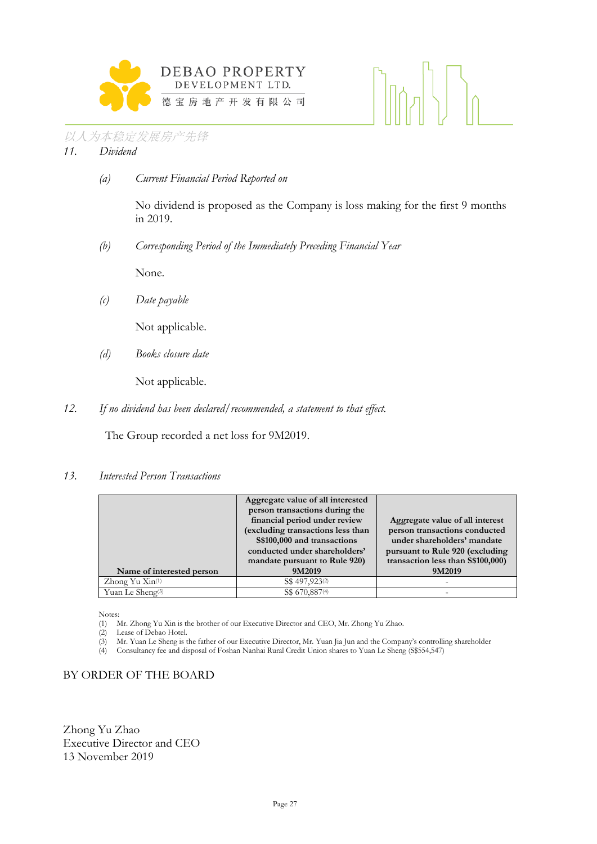



*(a) Current Financial Period Reported on*

No dividend is proposed as the Company is loss making for the first 9 months in 2019.

 $\left[\left|\left[\left(\frac{1}{2}\right)\right]\right|^2\right]_0$ 

*(b) Corresponding Period of the Immediately Preceding Financial Year*

None.

*(c) Date payable*

Not applicable.

*(d) Books closure date*

Not applicable.

*12. If no dividend has been declared/recommended, a statement to that effect.*

The Group recorded a net loss for 9M2019.

#### *13. Interested Person Transactions*

|                              | Aggregate value of all interested |                                    |
|------------------------------|-----------------------------------|------------------------------------|
|                              | person transactions during the    |                                    |
|                              | financial period under review     | Aggregate value of all interest    |
|                              | (excluding transactions less than | person transactions conducted      |
|                              | S\$100,000 and transactions       | under shareholders' mandate        |
|                              | conducted under shareholders'     | pursuant to Rule 920 (excluding    |
|                              | mandate pursuant to Rule 920)     | transaction less than \$\$100,000) |
| Name of interested person    | 9M2019                            | 9M2019                             |
| Zhong Yu Xin <sup>(1)</sup>  | S\$ 497,923 <sup>(2)</sup>        |                                    |
| Yuan Le Sheng <sup>(3)</sup> | S\$ 670,887(4)                    |                                    |

Notes:

(1) Mr. Zhong Yu Xin is the brother of our Executive Director and CEO, Mr. Zhong Yu Zhao.

- (2) Lease of Debao Hotel.<br>(3) Mr. Yuan Le Sheng is t (3) Mr. Yuan Le Sheng is the father of our Executive Director, Mr. Yuan Jia Jun and the Company's controlling shareholder (4) Consultancy fee and disposal of Foshan Nanhai Rural Credit Union shares to Yuan Le Sheng (S\$554,
- (4) Consultancy fee and disposal of Foshan Nanhai Rural Credit Union shares to Yuan Le Sheng (S\$554,547)

## BY ORDER OF THE BOARD

Zhong Yu Zhao Executive Director and CEO 13 November 2019